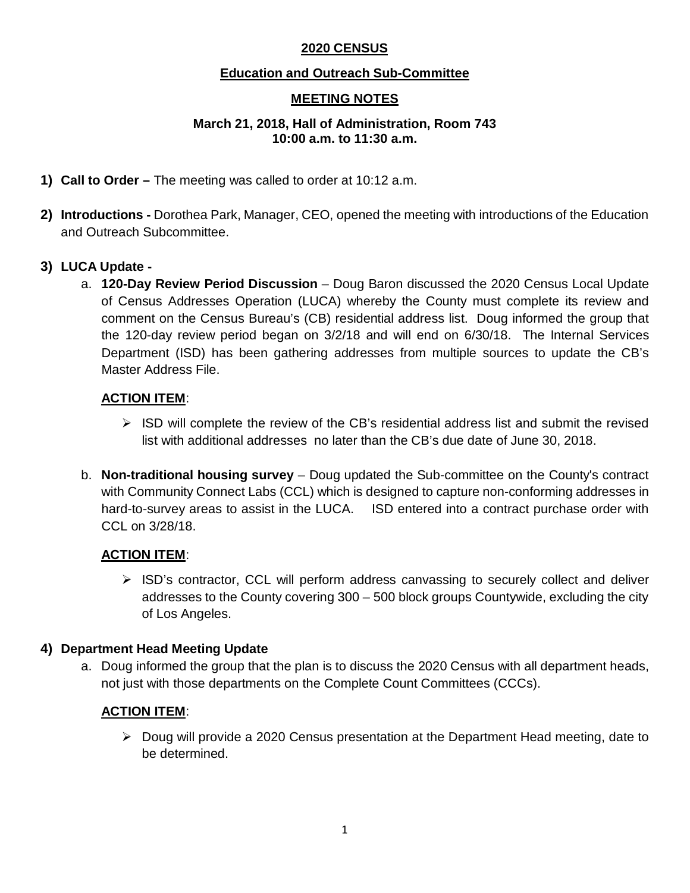### **2020 CENSUS**

#### **Education and Outreach Sub-Committee**

### **MEETING NOTES**

#### **March 21, 2018, Hall of Administration, Room 743 10:00 a.m. to 11:30 a.m.**

- **1) Call to Order –** The meeting was called to order at 10:12 a.m.
- **2) Introductions -** Dorothea Park, Manager, CEO, opened the meeting with introductions of the Education and Outreach Subcommittee.

#### **3) LUCA Update -**

a. **120-Day Review Period Discussion** – Doug Baron discussed the 2020 Census Local Update of Census Addresses Operation (LUCA) whereby the County must complete its review and comment on the Census Bureau's (CB) residential address list. Doug informed the group that the 120-day review period began on 3/2/18 and will end on 6/30/18. The Internal Services Department (ISD) has been gathering addresses from multiple sources to update the CB's Master Address File.

#### **ACTION ITEM**:

- $\triangleright$  ISD will complete the review of the CB's residential address list and submit the revised list with additional addresses no later than the CB's due date of June 30, 2018.
- b. **Non-traditional housing survey** Doug updated the Sub-committee on the County's contract with Community Connect Labs (CCL) which is designed to capture non-conforming addresses in hard-to-survey areas to assist in the LUCA. ISD entered into a contract purchase order with CCL on 3/28/18.

#### **ACTION ITEM**:

 $\triangleright$  ISD's contractor, CCL will perform address canvassing to securely collect and deliver addresses to the County covering 300 – 500 block groups Countywide, excluding the city of Los Angeles.

#### **4) Department Head Meeting Update**

a. Doug informed the group that the plan is to discuss the 2020 Census with all department heads, not just with those departments on the Complete Count Committees (CCCs).

#### **ACTION ITEM**:

 $\triangleright$  Doug will provide a 2020 Census presentation at the Department Head meeting, date to be determined.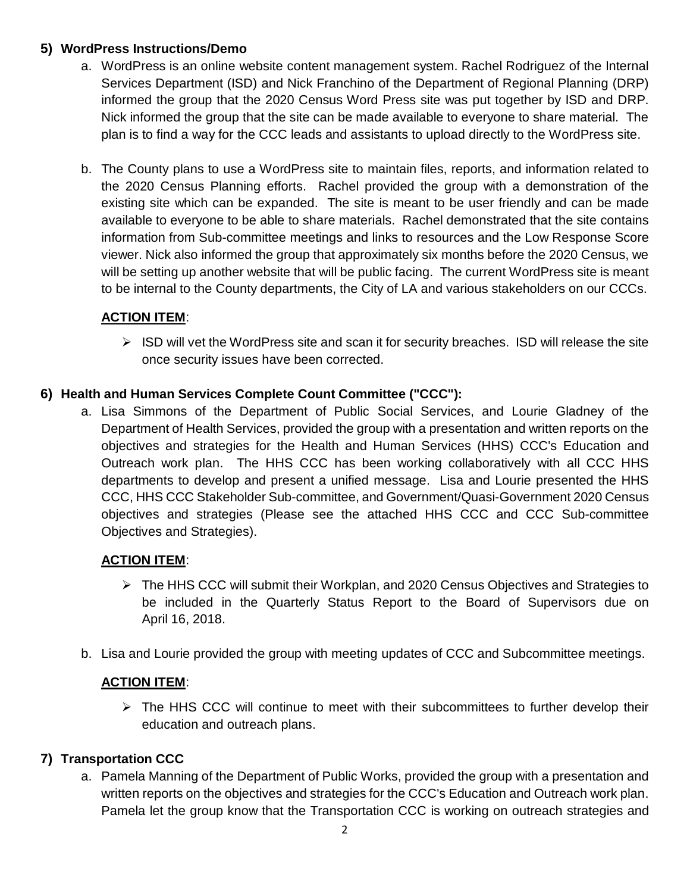### **5) WordPress Instructions/Demo**

- a. WordPress is an online website content management system. Rachel Rodriguez of the Internal Services Department (ISD) and Nick Franchino of the Department of Regional Planning (DRP) informed the group that the 2020 Census Word Press site was put together by ISD and DRP. Nick informed the group that the site can be made available to everyone to share material. The plan is to find a way for the CCC leads and assistants to upload directly to the WordPress site.
- b. The County plans to use a WordPress site to maintain files, reports, and information related to the 2020 Census Planning efforts. Rachel provided the group with a demonstration of the existing site which can be expanded. The site is meant to be user friendly and can be made available to everyone to be able to share materials. Rachel demonstrated that the site contains information from Sub-committee meetings and links to resources and the Low Response Score viewer. Nick also informed the group that approximately six months before the 2020 Census, we will be setting up another website that will be public facing. The current WordPress site is meant to be internal to the County departments, the City of LA and various stakeholders on our CCCs.

# **ACTION ITEM**:

 $\triangleright$  ISD will vet the WordPress site and scan it for security breaches. ISD will release the site once security issues have been corrected.

### **6) Health and Human Services Complete Count Committee ("CCC"):**

a. Lisa Simmons of the Department of Public Social Services, and Lourie Gladney of the Department of Health Services, provided the group with a presentation and written reports on the objectives and strategies for the Health and Human Services (HHS) CCC's Education and Outreach work plan. The HHS CCC has been working collaboratively with all CCC HHS departments to develop and present a unified message. Lisa and Lourie presented the HHS CCC, HHS CCC Stakeholder Sub-committee, and Government/Quasi-Government 2020 Census objectives and strategies (Please see the attached HHS CCC and CCC Sub-committee Objectives and Strategies).

#### **ACTION ITEM**:

- The HHS CCC will submit their Workplan, and 2020 Census Objectives and Strategies to be included in the Quarterly Status Report to the Board of Supervisors due on April 16, 2018.
- b. Lisa and Lourie provided the group with meeting updates of CCC and Subcommittee meetings.

#### **ACTION ITEM**:

 $\triangleright$  The HHS CCC will continue to meet with their subcommittees to further develop their education and outreach plans.

# **7) Transportation CCC**

a. Pamela Manning of the Department of Public Works, provided the group with a presentation and written reports on the objectives and strategies for the CCC's Education and Outreach work plan. Pamela let the group know that the Transportation CCC is working on outreach strategies and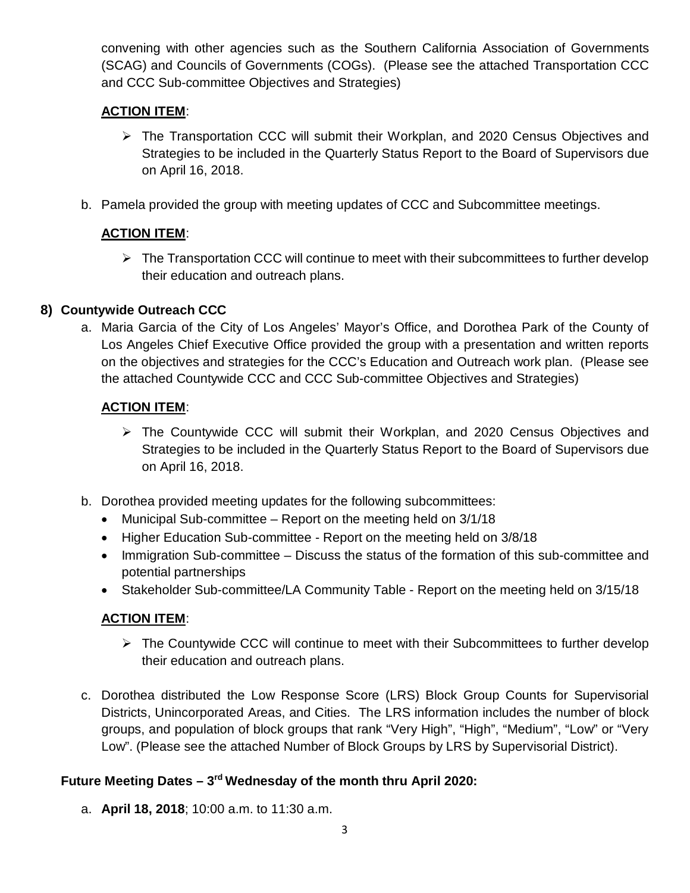convening with other agencies such as the Southern California Association of Governments (SCAG) and Councils of Governments (COGs). (Please see the attached Transportation CCC and CCC Sub-committee Objectives and Strategies)

# **ACTION ITEM**:

- The Transportation CCC will submit their Workplan, and 2020 Census Objectives and Strategies to be included in the Quarterly Status Report to the Board of Supervisors due on April 16, 2018.
- b. Pamela provided the group with meeting updates of CCC and Subcommittee meetings.

# **ACTION ITEM**:

 $\triangleright$  The Transportation CCC will continue to meet with their subcommittees to further develop their education and outreach plans.

### **8) Countywide Outreach CCC**

a. Maria Garcia of the City of Los Angeles' Mayor's Office, and Dorothea Park of the County of Los Angeles Chief Executive Office provided the group with a presentation and written reports on the objectives and strategies for the CCC's Education and Outreach work plan. (Please see the attached Countywide CCC and CCC Sub-committee Objectives and Strategies)

#### **ACTION ITEM**:

- The Countywide CCC will submit their Workplan, and 2020 Census Objectives and Strategies to be included in the Quarterly Status Report to the Board of Supervisors due on April 16, 2018.
- b. Dorothea provided meeting updates for the following subcommittees:
	- Municipal Sub-committee Report on the meeting held on 3/1/18
	- Higher Education Sub-committee Report on the meeting held on 3/8/18
	- Immigration Sub-committee Discuss the status of the formation of this sub-committee and potential partnerships
	- Stakeholder Sub-committee/LA Community Table Report on the meeting held on 3/15/18

#### **ACTION ITEM**:

- $\triangleright$  The Countywide CCC will continue to meet with their Subcommittees to further develop their education and outreach plans.
- c. Dorothea distributed the Low Response Score (LRS) Block Group Counts for Supervisorial Districts, Unincorporated Areas, and Cities. The LRS information includes the number of block groups, and population of block groups that rank "Very High", "High", "Medium", "Low" or "Very Low". (Please see the attached Number of Block Groups by LRS by Supervisorial District).

# **Future Meeting Dates – 3rd Wednesday of the month thru April 2020:**

a. **April 18, 2018**; 10:00 a.m. to 11:30 a.m.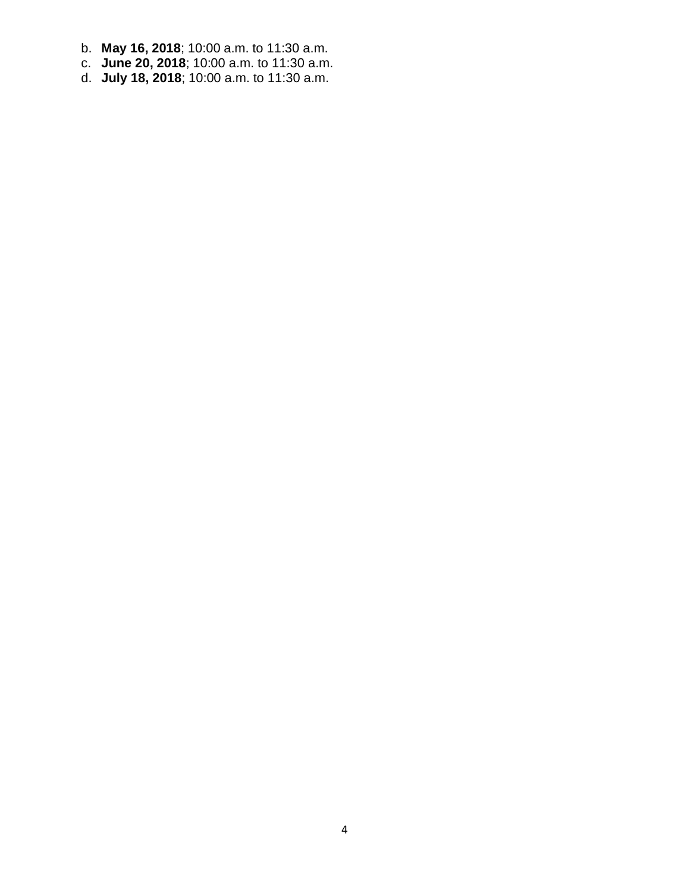- b. **May 16, 2018**; 10:00 a.m. to 11:30 a.m.
- c. **June 20, 2018**; 10:00 a.m. to 11:30 a.m.
- d. **July 18, 2018**; 10:00 a.m. to 11:30 a.m.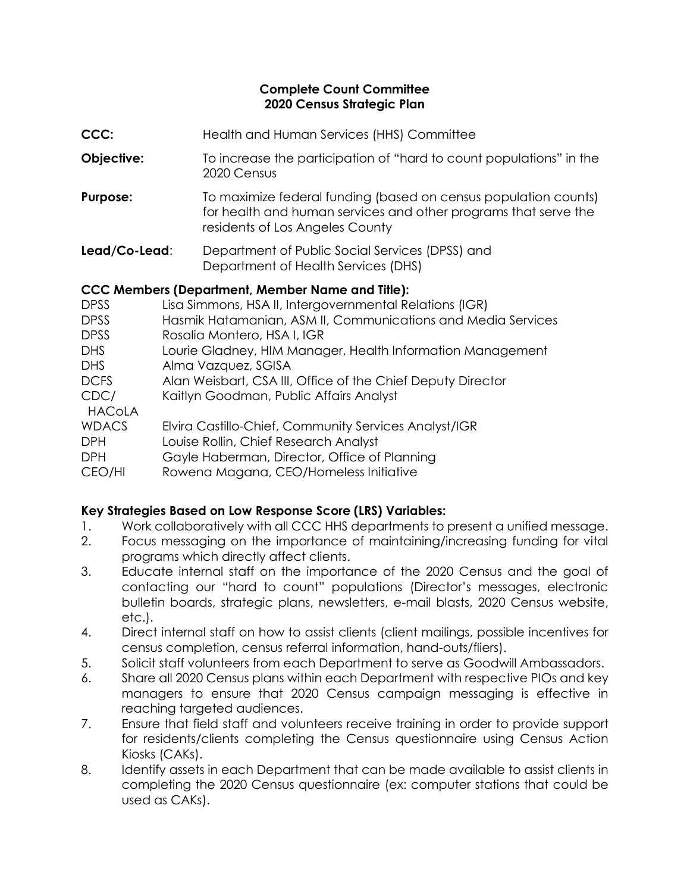#### **Complete Count Committee 2020 Census Strategic Plan**

- **CCC:** Health and Human Services (HHS) Committee
- **Objective:** To increase the participation of "hard to count populations" in the 2020 Census
- **Purpose:** To maximize federal funding (based on census population counts) for health and human services and other programs that serve the residents of Los Angeles County
- **Lead/Co-Lead**: Department of Public Social Services (DPSS) and Department of Health Services (DHS)

### **CCC Members (Department, Member Name and Title):**

| <b>DPSS</b>           | Lisa Simmons, HSA II, Intergovernmental Relations (IGR)      |
|-----------------------|--------------------------------------------------------------|
| <b>DPSS</b>           | Hasmik Hatamanian, ASM II, Communications and Media Services |
| <b>DPSS</b>           | Rosalia Montero, HSA I, IGR                                  |
| DHS                   | Lourie Gladney, HIM Manager, Health Information Management   |
| DHS                   | Alma Vazquez, SGISA                                          |
| <b>DCFS</b>           | Alan Weisbart, CSA III, Office of the Chief Deputy Director  |
| CDC/<br><b>HACoLA</b> | Kaitlyn Goodman, Public Affairs Analyst                      |
| <b>WDACS</b>          | Elvira Castillo-Chief, Community Services Analyst/IGR        |
| <b>DPH</b>            | Louise Rollin, Chief Research Analyst                        |
| <b>DPH</b>            | Gayle Haberman, Director, Office of Planning                 |
| CEO/HI                | Rowena Magana, CEO/Homeless Initiative                       |
|                       |                                                              |

# **Key Strategies Based on Low Response Score (LRS) Variables:**

- 1. Work collaboratively with all CCC HHS departments to present a unified message.
- 2. Focus messaging on the importance of maintaining/increasing funding for vital programs which directly affect clients.
- 3. Educate internal staff on the importance of the 2020 Census and the goal of contacting our "hard to count" populations (Director's messages, electronic bulletin boards, strategic plans, newsletters, e-mail blasts, 2020 Census website, etc.).
- 4. Direct internal staff on how to assist clients (client mailings, possible incentives for census completion, census referral information, hand-outs/fliers).
- 5. Solicit staff volunteers from each Department to serve as Goodwill Ambassadors.
- 6. Share all 2020 Census plans within each Department with respective PIOs and key managers to ensure that 2020 Census campaign messaging is effective in reaching targeted audiences.
- 7. Ensure that field staff and volunteers receive training in order to provide support for residents/clients completing the Census questionnaire using Census Action Kiosks (CAKs).
- 8. Identify assets in each Department that can be made available to assist clients in completing the 2020 Census questionnaire (ex: computer stations that could be used as CAKs).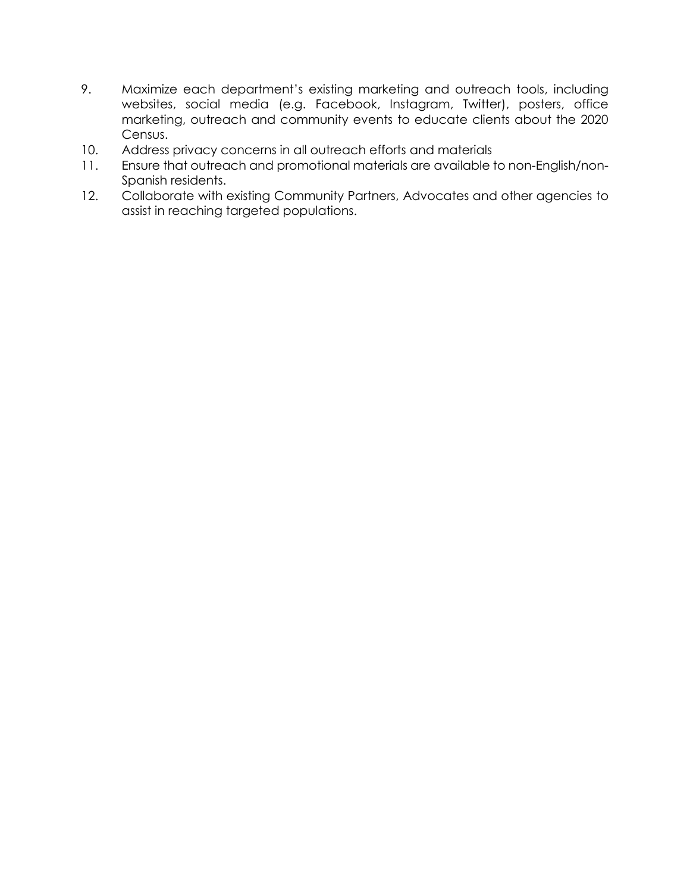- 9. Maximize each department's existing marketing and outreach tools, including websites, social media (e.g. Facebook, Instagram, Twitter), posters, office marketing, outreach and community events to educate clients about the 2020 Census.
- 10. Address privacy concerns in all outreach efforts and materials
- 11. Ensure that outreach and promotional materials are available to non-English/non-Spanish residents.
- 12. Collaborate with existing Community Partners, Advocates and other agencies to assist in reaching targeted populations.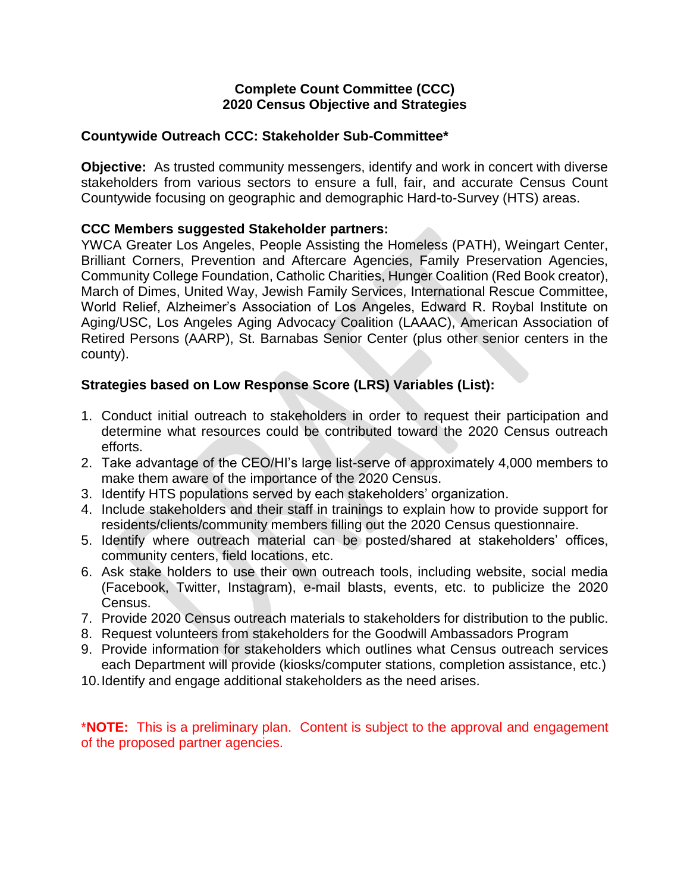#### **Countywide Outreach CCC: Stakeholder Sub-Committee\***

**Objective:** As trusted community messengers, identify and work in concert with diverse stakeholders from various sectors to ensure a full, fair, and accurate Census Count Countywide focusing on geographic and demographic Hard-to-Survey (HTS) areas.

#### **CCC Members suggested Stakeholder partners:**

YWCA Greater Los Angeles, People Assisting the Homeless (PATH), Weingart Center, Brilliant Corners, Prevention and Aftercare Agencies, Family Preservation Agencies, Community College Foundation, Catholic Charities, Hunger Coalition (Red Book creator), March of Dimes, United Way, Jewish Family Services, International Rescue Committee, World Relief, Alzheimer's Association of Los Angeles, Edward R. Roybal Institute on Aging/USC, Los Angeles Aging Advocacy Coalition (LAAAC), American Association of Retired Persons (AARP), St. Barnabas Senior Center (plus other senior centers in the county).

### **Strategies based on Low Response Score (LRS) Variables (List):**

- 1. Conduct initial outreach to stakeholders in order to request their participation and determine what resources could be contributed toward the 2020 Census outreach efforts.
- 2. Take advantage of the CEO/HI's large list-serve of approximately 4,000 members to make them aware of the importance of the 2020 Census.
- 3. Identify HTS populations served by each stakeholders' organization.
- 4. Include stakeholders and their staff in trainings to explain how to provide support for residents/clients/community members filling out the 2020 Census questionnaire.
- 5. Identify where outreach material can be posted/shared at stakeholders' offices, community centers, field locations, etc.
- 6. Ask stake holders to use their own outreach tools, including website, social media (Facebook, Twitter, Instagram), e-mail blasts, events, etc. to publicize the 2020 Census.
- 7. Provide 2020 Census outreach materials to stakeholders for distribution to the public.
- 8. Request volunteers from stakeholders for the Goodwill Ambassadors Program
- 9. Provide information for stakeholders which outlines what Census outreach services each Department will provide (kiosks/computer stations, completion assistance, etc.)
- 10.Identify and engage additional stakeholders as the need arises.

\***NOTE:** This is a preliminary plan. Content is subject to the approval and engagement of the proposed partner agencies.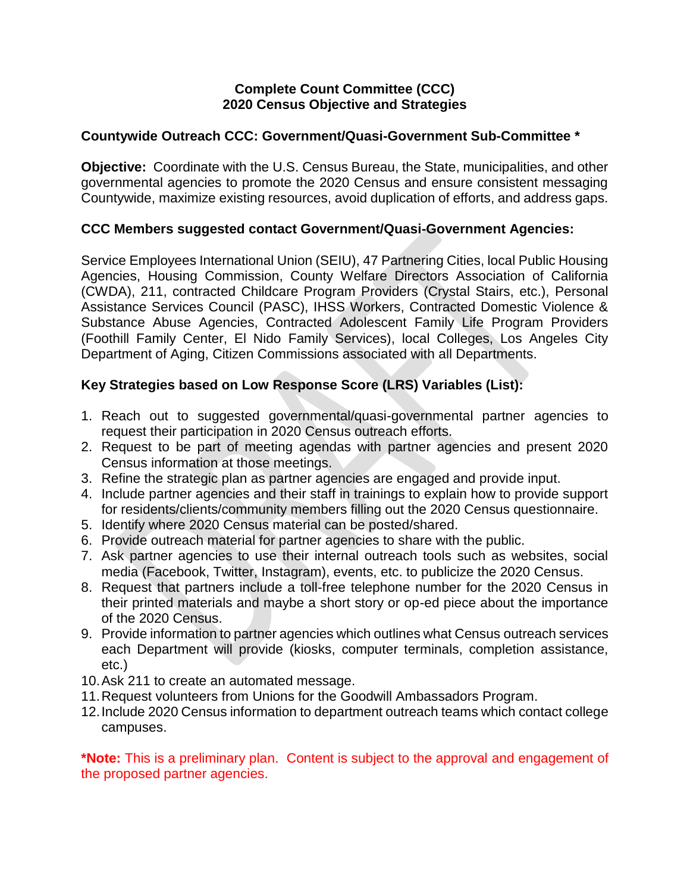#### **Countywide Outreach CCC: Government/Quasi-Government Sub-Committee \***

**Objective:** Coordinate with the U.S. Census Bureau, the State, municipalities, and other governmental agencies to promote the 2020 Census and ensure consistent messaging Countywide, maximize existing resources, avoid duplication of efforts, and address gaps.

#### **CCC Members suggested contact Government/Quasi-Government Agencies:**

Service Employees International Union (SEIU), 47 Partnering Cities, local Public Housing Agencies, Housing Commission, County Welfare Directors Association of California (CWDA), 211, contracted Childcare Program Providers (Crystal Stairs, etc.), Personal Assistance Services Council (PASC), IHSS Workers, Contracted Domestic Violence & Substance Abuse Agencies, Contracted Adolescent Family Life Program Providers (Foothill Family Center, El Nido Family Services), local Colleges, Los Angeles City Department of Aging, Citizen Commissions associated with all Departments.

# **Key Strategies based on Low Response Score (LRS) Variables (List):**

- 1. Reach out to suggested governmental/quasi-governmental partner agencies to request their participation in 2020 Census outreach efforts.
- 2. Request to be part of meeting agendas with partner agencies and present 2020 Census information at those meetings.
- 3. Refine the strategic plan as partner agencies are engaged and provide input.
- 4. Include partner agencies and their staff in trainings to explain how to provide support for residents/clients/community members filling out the 2020 Census questionnaire.
- 5. Identify where 2020 Census material can be posted/shared.
- 6. Provide outreach material for partner agencies to share with the public.
- 7. Ask partner agencies to use their internal outreach tools such as websites, social media (Facebook, Twitter, Instagram), events, etc. to publicize the 2020 Census.
- 8. Request that partners include a toll-free telephone number for the 2020 Census in their printed materials and maybe a short story or op-ed piece about the importance of the 2020 Census.
- 9. Provide information to partner agencies which outlines what Census outreach services each Department will provide (kiosks, computer terminals, completion assistance, etc.)
- 10.Ask 211 to create an automated message.
- 11.Request volunteers from Unions for the Goodwill Ambassadors Program.
- 12.Include 2020 Census information to department outreach teams which contact college campuses.

**\*Note:** This is a preliminary plan. Content is subject to the approval and engagement of the proposed partner agencies.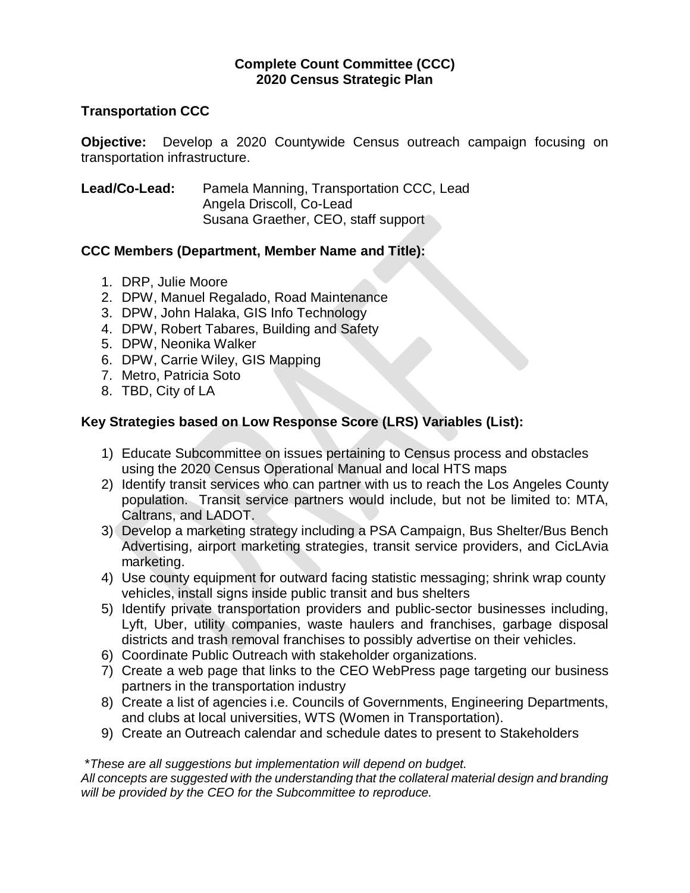### **Complete Count Committee (CCC) 2020 Census Strategic Plan**

#### **Transportation CCC**

**Objective:** Develop a 2020 Countywide Census outreach campaign focusing on transportation infrastructure.

# **Lead/Co-Lead:** Pamela Manning, Transportation CCC, Lead Angela Driscoll, Co-Lead Susana Graether, CEO, staff support

### **CCC Members (Department, Member Name and Title):**

- 1. DRP, Julie Moore
- 2. DPW, Manuel Regalado, Road Maintenance
- 3. DPW, John Halaka, GIS Info Technology
- 4. DPW, Robert Tabares, Building and Safety
- 5. DPW, Neonika Walker
- 6. DPW, Carrie Wiley, GIS Mapping
- 7. Metro, Patricia Soto
- 8. TBD, City of LA

# **Key Strategies based on Low Response Score (LRS) Variables (List):**

- 1) Educate Subcommittee on issues pertaining to Census process and obstacles using the 2020 Census Operational Manual and local HTS maps
- 2) Identify transit services who can partner with us to reach the Los Angeles County population. Transit service partners would include, but not be limited to: MTA, Caltrans, and LADOT.
- 3) Develop a marketing strategy including a PSA Campaign, Bus Shelter/Bus Bench Advertising, airport marketing strategies, transit service providers, and CicLAvia marketing.
- 4) Use county equipment for outward facing statistic messaging; shrink wrap county vehicles, install signs inside public transit and bus shelters
- 5) Identify private transportation providers and public-sector businesses including, Lyft, Uber, utility companies, waste haulers and franchises, garbage disposal districts and trash removal franchises to possibly advertise on their vehicles.
- 6) Coordinate Public Outreach with stakeholder organizations.
- 7) Create a web page that links to the CEO WebPress page targeting our business partners in the transportation industry
- 8) Create a list of agencies i.e. Councils of Governments, Engineering Departments, and clubs at local universities, WTS (Women in Transportation).
- 9) Create an Outreach calendar and schedule dates to present to Stakeholders

#### \**These are all suggestions but implementation will depend on budget.*

*All concepts are suggested with the understanding that the collateral material design and branding will be provided by the CEO for the Subcommittee to reproduce.*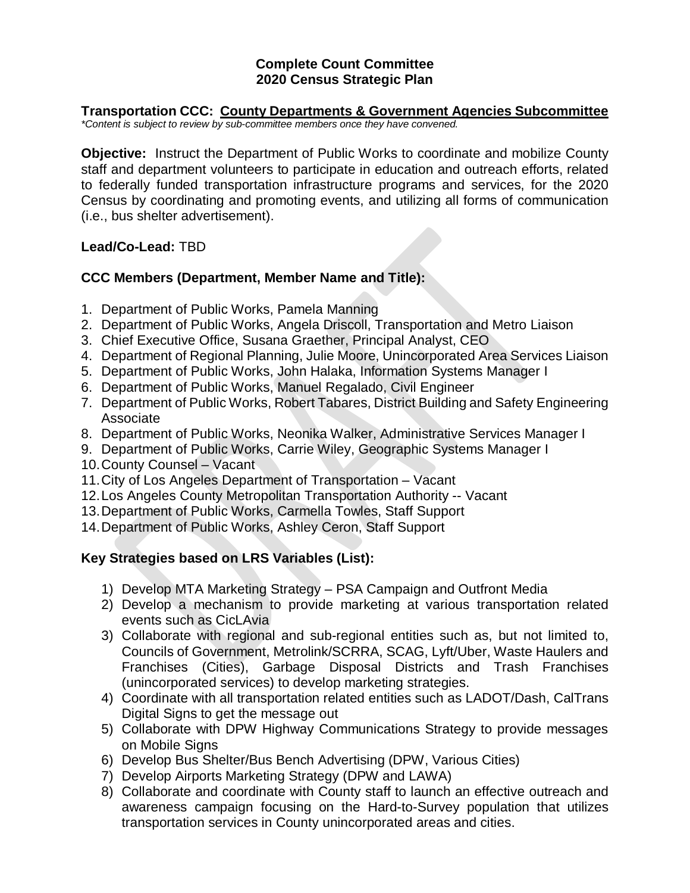### **Complete Count Committee 2020 Census Strategic Plan**

#### **Transportation CCC: County Departments & Government Agencies Subcommittee** *\*Content is subject to review by sub-committee members once they have convened.*

**Objective:** Instruct the Department of Public Works to coordinate and mobilize County staff and department volunteers to participate in education and outreach efforts, related to federally funded transportation infrastructure programs and services, for the 2020 Census by coordinating and promoting events, and utilizing all forms of communication (i.e., bus shelter advertisement).

### **Lead/Co-Lead:** TBD

# **CCC Members (Department, Member Name and Title):**

- 1. Department of Public Works, Pamela Manning
- 2. Department of Public Works, Angela Driscoll, Transportation and Metro Liaison
- 3. Chief Executive Office, Susana Graether, Principal Analyst, CEO
- 4. Department of Regional Planning, Julie Moore, Unincorporated Area Services Liaison
- 5. Department of Public Works, John Halaka, Information Systems Manager I
- 6. Department of Public Works, Manuel Regalado, Civil Engineer
- 7. Department of Public Works, Robert Tabares, District Building and Safety Engineering Associate
- 8. Department of Public Works, Neonika Walker, Administrative Services Manager I
- 9. Department of Public Works, Carrie Wiley, Geographic Systems Manager I
- 10.County Counsel Vacant
- 11.City of Los Angeles Department of Transportation Vacant
- 12.Los Angeles County Metropolitan Transportation Authority -- Vacant
- 13.Department of Public Works, Carmella Towles, Staff Support
- 14.Department of Public Works, Ashley Ceron, Staff Support

# **Key Strategies based on LRS Variables (List):**

- 1) Develop MTA Marketing Strategy PSA Campaign and Outfront Media
- 2) Develop a mechanism to provide marketing at various transportation related events such as CicLAvia
- 3) Collaborate with regional and sub-regional entities such as, but not limited to, Councils of Government, Metrolink/SCRRA, SCAG, Lyft/Uber, Waste Haulers and Franchises (Cities), Garbage Disposal Districts and Trash Franchises (unincorporated services) to develop marketing strategies.
- 4) Coordinate with all transportation related entities such as LADOT/Dash, CalTrans Digital Signs to get the message out
- 5) Collaborate with DPW Highway Communications Strategy to provide messages on Mobile Signs
- 6) Develop Bus Shelter/Bus Bench Advertising (DPW, Various Cities)
- 7) Develop Airports Marketing Strategy (DPW and LAWA)
- 8) Collaborate and coordinate with County staff to launch an effective outreach and awareness campaign focusing on the Hard-to-Survey population that utilizes transportation services in County unincorporated areas and cities.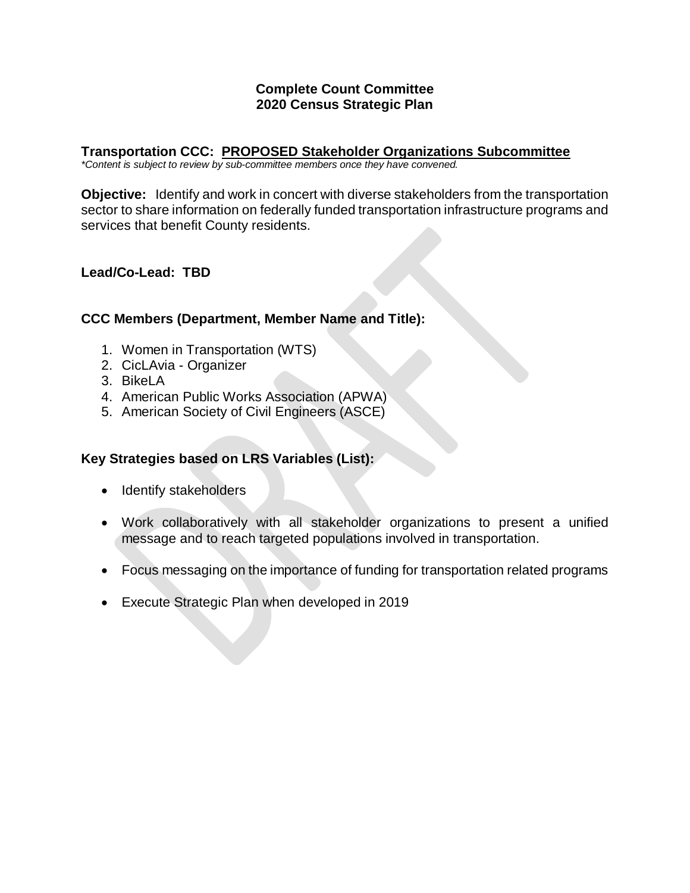#### **Complete Count Committee 2020 Census Strategic Plan**

#### **Transportation CCC: PROPOSED Stakeholder Organizations Subcommittee**

*\*Content is subject to review by sub-committee members once they have convened.*

**Objective:** Identify and work in concert with diverse stakeholders from the transportation sector to share information on federally funded transportation infrastructure programs and services that benefit County residents.

### **Lead/Co-Lead: TBD**

### **CCC Members (Department, Member Name and Title):**

- 1. Women in Transportation (WTS)
- 2. CicLAvia Organizer
- 3. BikeLA
- 4. American Public Works Association (APWA)
- 5. American Society of Civil Engineers (ASCE)

# **Key Strategies based on LRS Variables (List):**

- Identify stakeholders
- Work collaboratively with all stakeholder organizations to present a unified message and to reach targeted populations involved in transportation.
- Focus messaging on the importance of funding for transportation related programs
- Execute Strategic Plan when developed in 2019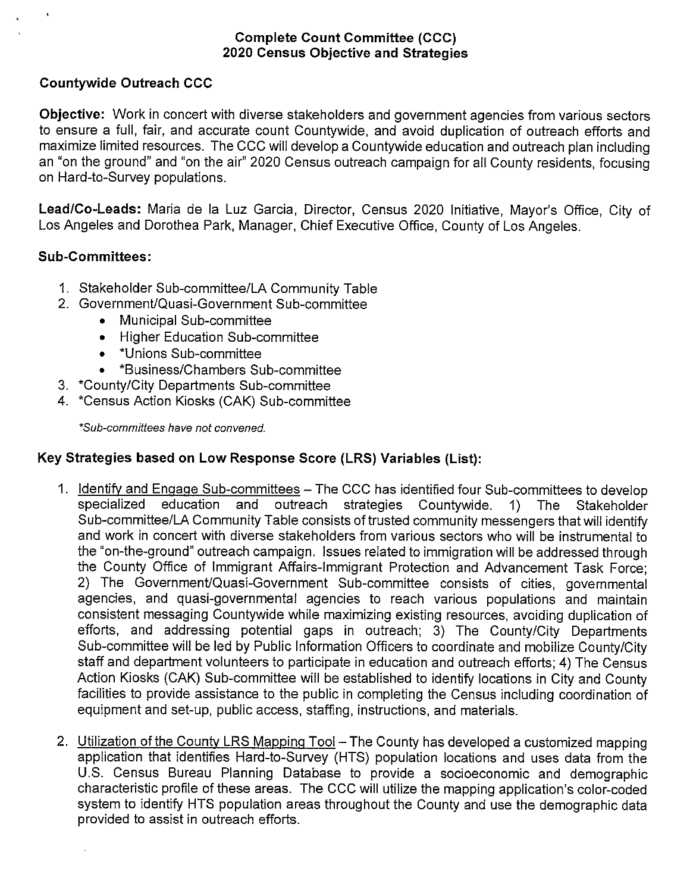#### Countywide Outreach CCC

Objective: Work in concert with diverse stakeholders and government agencies from various sectors to ensure a full, fair, and accurate count Countywide, and avoid duplication of outreach efforts and maximize limited resources. The CCC will develop a Countywide education and outreach plan including an "on the ground" and 'on the air" 2020 Census outreach campaign for all County residents, focusing on Hard-to-Survey populations.

Lead/Co-Leads: Maria de Ia Luz Garcia, Director, Census 2020 Initiative, Mayor's Office, City of Los Angeles and Dorothea Park, Manager, Chief Executive Office, County of Los Angeles.

#### Sub-Committees:

- 1. Stakeholder Sub-committee/LA Community Table
- 2. Government/Quasi-Government Sub-committee
	- Municipal Sub-committee
	- Higher Education Sub-committee
	- \*Unions Sub-committee
	- \*Business/Chambers Sub-committee
- 3 \*County/City Departments Sub-committee
- 4. ~Census Action Kiosks (CAK) Sub-committee

\*Sub-committees have not convened.

#### Key Strategies based on Low Response Score (LRS) Variables (List):

- 1. Identify and Engage Sub-committees The CCC has identified four Sub-committees to develop specialized education and outreach strategies Countywide. 1) The Stakeholder Sub-committee/LA Community Table consists of trusted community messengers that will identify and work in concert with diverse stakeholders from various sectors who will be instrumental to the "on-the-ground" outreach campaign. Issues related to immigration will be addressed through the County Office of Immigrant Affairs-Immigrant Protection and Advancement Task Force; 2) The Government/Quasi-Government Sub-committee consists of cities, governmental agencies, and quasi-governmental agencies to reach various populations and maintain consistent messaging Countywide while maximizing existing resources, avoiding duplication of efforts, and addressing potential gaps in outreach; 3) The County/City Departments Sub-committee will be led by Public Information Officers to coordinate and mobilize County/City staff and department volunteers to participate in education and outreach efforts; 4) The Census Action Kiosks (CAK) Sub-committee will be established to identify locations in City and County facilities to provide assistance to the public in completing the Census including coordination of equipment and set-up, public access, staffing, instructions, and materials.
- 2. Utilization of the County LRS Mapping Tool—The County has developed a customized mapping application that identifies Hard-to-Survey (HTS) population locations and uses data from the U.S. Census Bureau Planning Database to provide a socioeconomic and demographic characteristic profile of these areas. The CCC will utilize the mapping application's color-coded system to identify HTS population areas throughout the County and use the demographic data provided to assist in outreach efforts.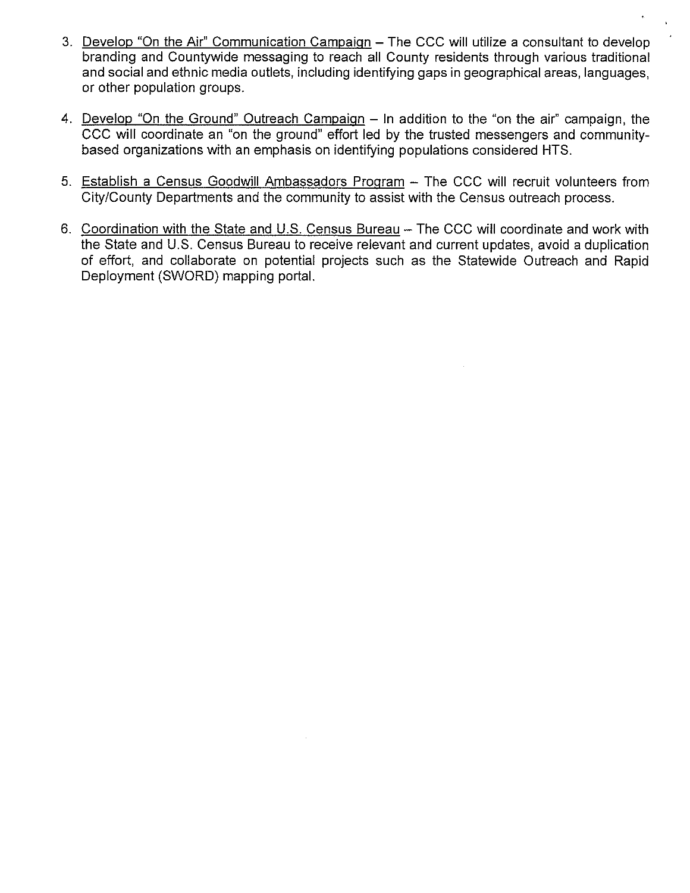- 3. Develop "On the Air" Communication Campaign The CCC will utilize a consultant to develop branding and Countywide messaging to reach all County residents through various traditional and social and ethnic media outlets, including identifying gaps in geographical areas, languages, or other population groups.
- 4. Develop "On the Ground" Outreach Campaign In addition to the "on the air" campaign, the CCC will coordinate an "on the ground" effort led by the trusted messengers and communitybased organizations with an emphasis on identifying populations considered HTS.
- 5. Establish a Census Goodwill Ambassadors Program The CCC will recruit volunteers from City/County Departments and the community to assist with the Census outreach process.
- 6. Coordination with the State and U.S. Census Bureau The CCC will coordinate and work with the State and U.S. Census Bureau to receive relevant and current updates, avoid a duplication of effort, and collaborate on potential projects such as the Statewide Outreach and Rapid Deployment (SWORD) mapping portal.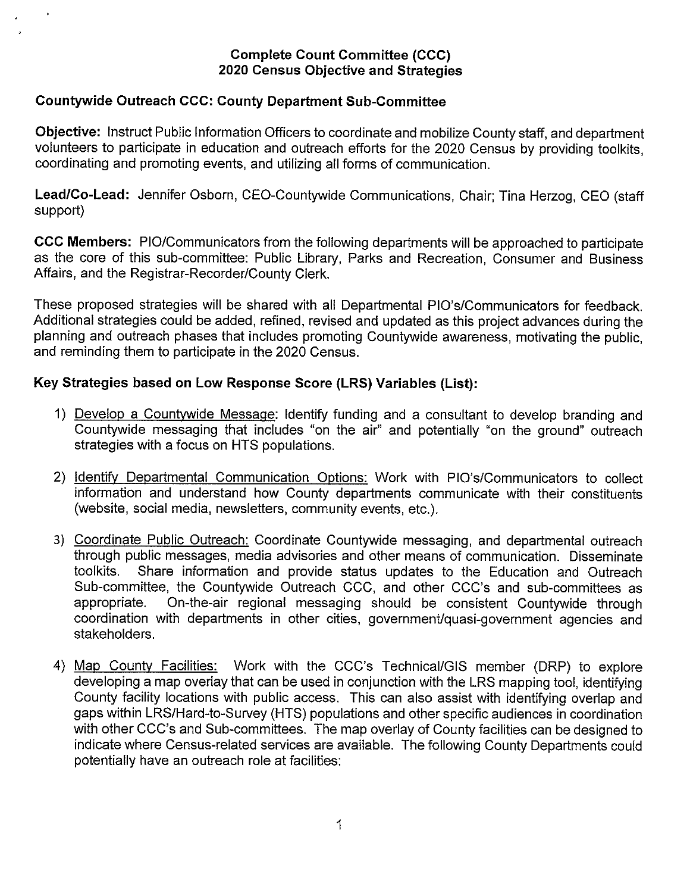#### Countywide Outreach CCC: County Department Sub-Committee

Objective: Instruct Public Information Officers to coordinate and mobilize County staff, and department volunteers to participate in education and outreach efforts for the 2020 Census by providing toolkits, coordinating and promoting events, and utilizing all forms of communication.

Lead/Co-Lead: Jennifer Osborn, CEO-Countywide Communications, Chair; Tina Herzog, CEO (staff support)

CCC Members: PlO/Communicators from the following departments will be approached to participate as the core of this sub-committee: Public Library, Parks and Recreation, Consumer and Business Affairs, and the Registrar-Recorder/County Clerk.

These proposed strategies will be shared with all Departmental PlO's/Communicators for feedback. Additional strategies could be added, refined, revised and updated as this project advances during the planning and outreach phases that includes promoting Countywide awareness, motivating the public, and reminding them to participate in the 2020 Census.

### Key Strategies based on Low Response Score (LRS) Variables (List):

- 1) Develop a Countywide Message: Identify funding and a consultant to develop branding and Countywide messaging that includes "on the air" and potentially "on the ground" outreach strategies with a focus on HTS populations.
- 2) Identify Departmental Communication Options: Work with PlO's/Communicators to collect information and understand how County departments communicate with their constituents (website, social media, newsletters, community events, etc.).
- 3) Coordinate Public Outreach: Coordinate Countywide messaging, and departmental outreach through public messages, media advisories and other means of communication. Disseminate toolkits. Share information and provide status updates to the Education and Outreach Sub-committee, the Countywide Outreach CCC, and other CCC's and sub-committees as appropriate. On-the-air regional messaging should be consistent Countywide through coordination with departments in other cities, government/quasi-government agencies and stakeholders.
- 4) Map County Facilities: Work with the CCC's Technical/GIS member (DRP) to explore developing a map overlay that can be used in conjunction with the LRS mapping tool, identifying County facility locations with public access. This can also assist with identifying overlap and gaps within LRS/Hard-to-Survey (HTS) populations and other specific audiences in coordination with other CCC's and Sub-committees. The map overlay of County facilities can be designed to indicate where Census-related services are available. The following County Departments could potentially have an outreach role at facilities: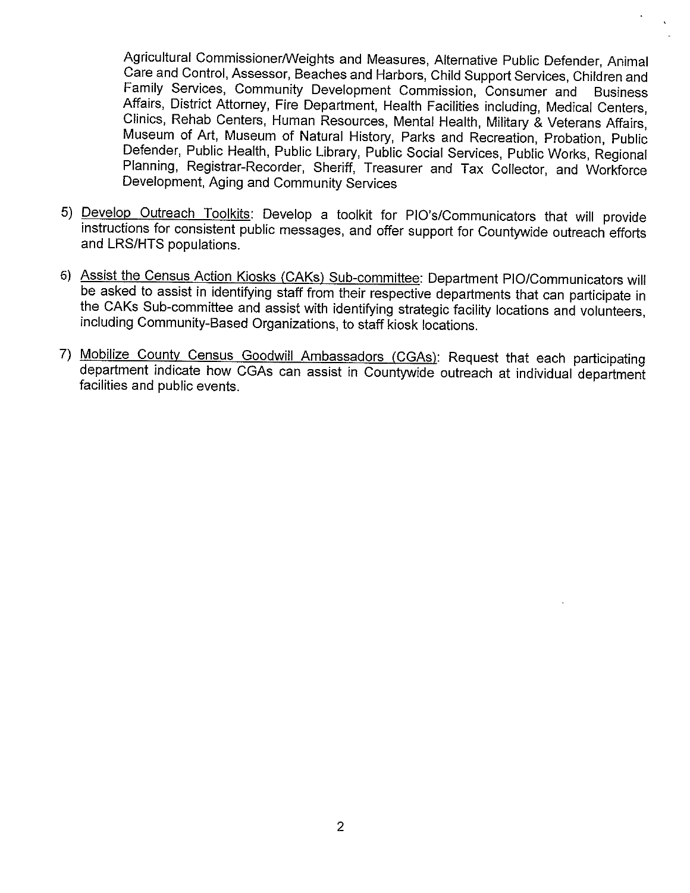Agricultural Commissioner/Weights and Measures, Alternative Public Defender, Animal Care and Control, Assessor, Beaches and Harbors, Child Support Services, Children and Family Services, Community Development Commission, Consumer and Business Affairs, District Attorney, Fire Department, Health Facilities including, Medical Centers, Clinics, Rehab Centers, Human Resources, Mental Health, Military & Veterans Affairs, Museum of Art, Museum of Natural History, Parks and Recreation, Probation, Public Defender, Public Health, Public Library, Public Social Services, Public Works, Regional Planning, Registrar-Recorder, Sheriff, Treasurer and Tax Collector, and Workforce Development, Aging and Community Services

- 5) Develop Outreach Toolkits: Develop a toolkit for PlO's/Communicators that will provide instructions for consistent public messages, and offer support for Countywide outreach efforts and LRS/HTS populations.
- 6) Assist the Census Action Kiosks (CAKs) Sub-committee: Department PlO/Communicators will be asked to assist in identifying staff from their respective departments that can participate in the CAKs Sub-committee and assist with identifying strategic facility locations and volunteers, including Community-Based Organizations, to staff kiosk locations.
- 7) Mobilize County Census Goodwill Ambassadors (CGAs): Request that each participating department indicate how CGAs can assist in Countywide outreach at individual department facilities and public events.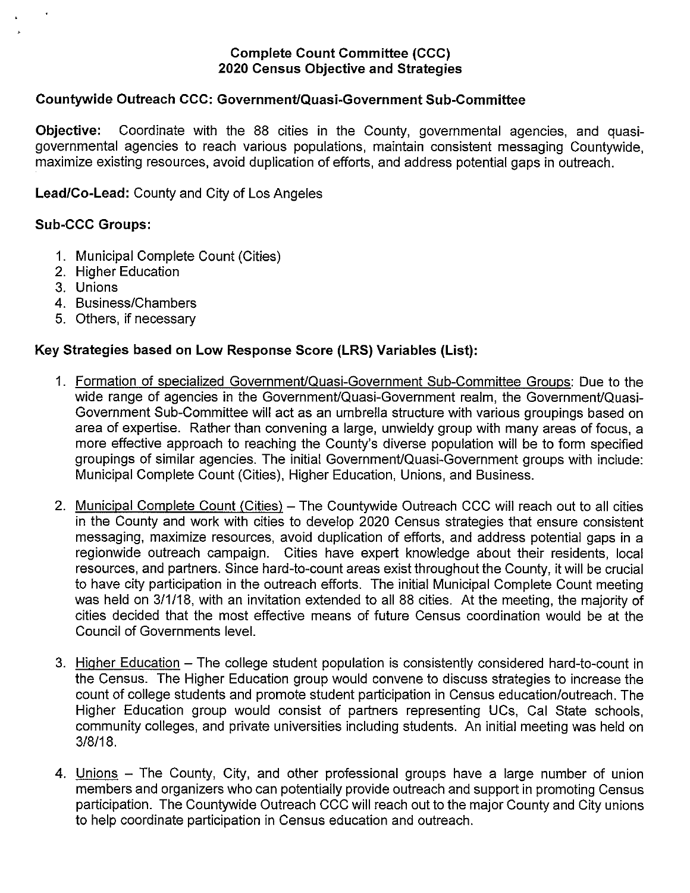#### Countywide Outreach CCC: GovernmentlQuasi-Government Sub-Committee

Objective: Coordinate with the 88 cities in the County, governmental agencies, and quasigovernmental agencies to reach various populations, maintain consistent messaging Countywide, maximize existing resources, avoid duplication of efforts, and address potential gaps in outreach.

Lead/Co-Lead: County and City of Los Angeles

#### Sub-CCC Groups:

- 1. Municipal Complete Count (Cities)
- 2. Higher Education
- 3. Unions
- 4. Business/Chambers
- 5. Others, if necessary

#### Key Strategies based on Low Response Score (LRS) Variables (List):

- 1. Formation of specialized Government/Quasi-Government Sub-Committee Groups: Due to the wide range of agencies in the Government/Quasi-Government realm, the Government/Quasi-Government Sub-Committee will act as an umbrella structure with various groupings based on area of expertise. Rather than convening a large, unwieldy group with many areas of focus, a more effective approach to reaching the County's diverse population will be to form specified groupings of similar agencies. The initial Government/Quasi-Government groups with include: Municipal Complete Count (Cities), Higher Education, Unions, and Business.
- 2. Municipal Complete Count (Cities) The Countywide Outreach CCC will reach out to all cities in the County and work with cities to develop 2020 Census strategies that ensure consistent messaging, maximize resources, avoid duplication of efforts, and address potential gaps in a regionwide outreach campaign. Cities have expert knowledge about their residents, local resources, and partners. Since hard-to-count areas exist throughout the County, it will be crucial to have city participation in the outreach efforts. The initial Municipal Complete Count meeting was held on 3/1/18, with an invitation extended to all 88 cities. At the meeting, the majority of cities decided that the most effective means of future Census coordination would be at the Council of Governments level.
- 3. Higher Education The college student population is consistently considered hard-to-count in the Census. The Higher Education group would convene to discuss strategies to increase the count of college students and promote student participation in Census education/outreach. The Higher Education group would consist of partners representing UCs, Cal State schools, community colleges, and private universities including students. An initial meeting was held on 3/8/18.
- 4. Unions The County, City, and other professional groups have a large number of union members and organizers who can potentially provide outreach and support in promoting Census participation. The Countywide Outreach CCC will reach out to the major County and City unions to help coordinate participation in Census education and outreach.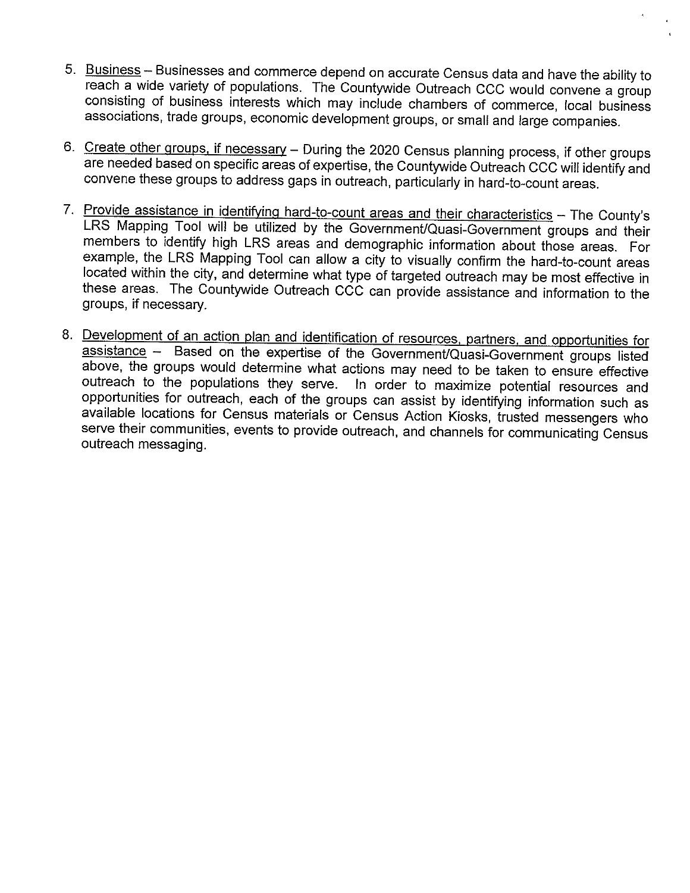- 5. Business Businesses and commerce depend on accurate Census data and have the ability to reach a wide variety of populations. The Countywide Outreach CCC would convene a group consisting of business interests which may include chambers of commerce, local business associations, trade groups, economic development groups, or small and large companies.
- 6. Create other groups, if necessary During the 2020 Census planning process, if other groups are needed based on specific areas of expertise, the Countywide Outreach CCC will identify and convene these groups to address gaps in outreach, particularly in hard-to-count areas.
- 7. Provide assistance in identifying hard-to-count areas and their characteristics The County's LRS Mapping Tool will be utilized by the Government/Quasi-Government groups and their members to identify high LRS areas and demographic information about those areas. For example, the LRS Mapping Tool can allow a city to visually confirm the hard-to-count areas located within the city, and determine what type of targeted outreach may be most effective in these areas. The Countywide Outreach CCC can provide assistance and information to the groups, if necessary.
- 8. Development of an action plan and identification of resources, partners, and opportunities for assistance — Based on the expertise of the Government/Quasi-Government groups listed above, the groups would determine what actions may need to be taken to ensure effective<br>outreach to the populations they serve. In order to maximize potential resources and In order to maximize potential resources and opportunities for outreach, each of the groups can assist by identifying information such as available locations for Census materials or Census Action Kiosks, trusted messengers who serve their communities, events to provide outreach, and channels for communicating Census outreach messaging.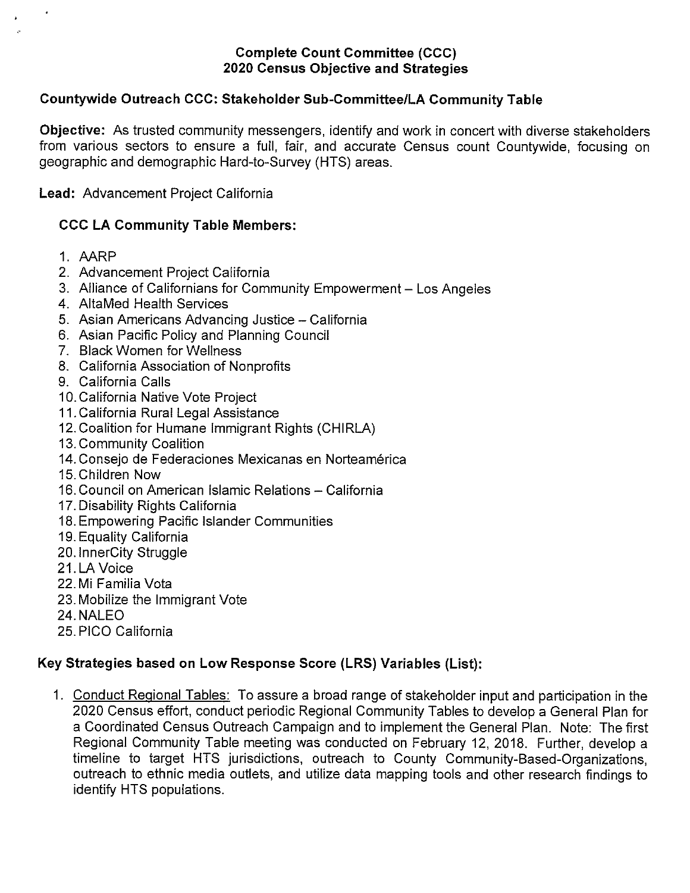### Countywide Outreach CCC: Stakeholder Sub-Committee/LA Community Table

Objective: As trusted community messengers, identify and work in concert with diverse stakeholders from various sectors to ensure a full, fair, and accurate Census count Countywide, focusing on geographic and demographic Hard-to-Survey (HTS) areas.

Lead: Advancement Project California

### CCC LA Community Table Members:

- 1. AARP
- 2. Advancement Project California
- 3. Alliance of Californians for Community Empowerment Los Angeles
- 4. AltaMed Health Services
- 5. Asian Americans Advancing Justice California
- 6. Asian Pacific Policy and Planning Council
- 7. Black Women for Wellness
- 8. California Association of Nonprofits
- 9. California Calls
- 10.California Native Vote Project
- 11. California Rural Legal Assistance
- 12. Coalition for Humane Immigrant Rights (CHIRLA)
- 13.Community Coalition
- 14. Consejo de Federaciones Mexicanas en Norteamérica
- 15.Children Now
- 16. Council on American Islamic Relations California
- 17. Disability Rights California
- 18. Empowering Pacific Islander Communities
- 19. Equality California
- 20. InnerCity Struggle
- 21. LA Voice
- 22. Mi Familia Vota
- 23. Mobilize the Immigrant Vote
- 24. NALEO
- 25. P1CC California

# Key Strategies based on Low Response Score (LRS) Variables (List):

1. Conduct Regional Tables: To assure a broad range of stakeholder input and participation in the 2020 Census effort, conduct periodic Regional Community Tables to develop a General Plan for a Coordinated Census Outreach Campaign and to implement the General Plan. Note: The first Regional Community Table meeting was conducted on February 12, 2018. Further, develop a timeline to target HTS jurisdictions, outreach to County Community-Based-Organizations, outreach to ethnic media outlets, and utilize data mapping tools and other research findings to identify HTS populations.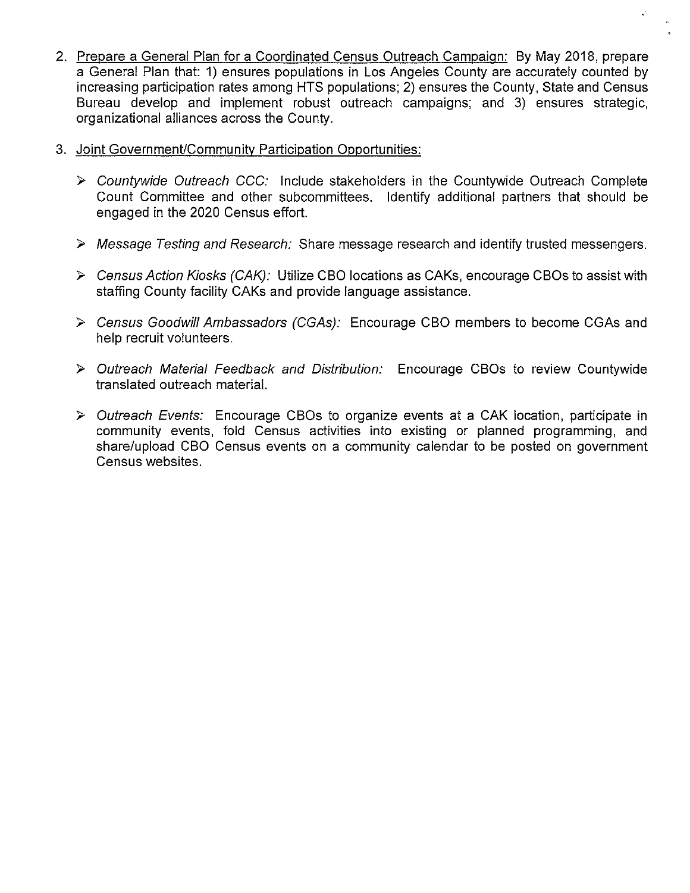2. Prepare a General Plan for a Coordinated Census Outreach Campaign: By May 2018, prepare a General Plan that: 1) ensures populations in Los Angeles County are accurately counted by increasing participation rates among HTS populations; 2) ensures the County, State and Census Bureau develop and implement robust outreach campaigns; and 3) ensures strategic, organizational alliances across the County.

k,

- 3. Joint Government/Community Participation Opportunities:
	- > Countywide Outreach CCC: Include stakeholders in the Countywide Outreach Complete Count Committee and other subcommittees. Identify additional partners that should be engaged in the 2020 Census effort.
	- > Message Testing and Research: Share message research and identify trusted messengers.
	- $\triangleright$  Census Action Kiosks (CAK): Utilize CBO locations as CAKs, encourage CBOs to assist with staffing County facility CAKs and provide language assistance.
	- > Census Goodwill Ambassadors (CGAs): Encourage CBO members to become CGAs and help recruit volunteers.
	- > Outreach Material Feedback and Distribution: Encourage CBOs to review Countywide translated outreach material.
	- > Outreach Events: Encourage CBOs to organize events at a CAK location, participate in community events, fold Census activities into existing or planned programming, and share/upload CBO Census events on a community calendar to be posted on governmentCensus websites.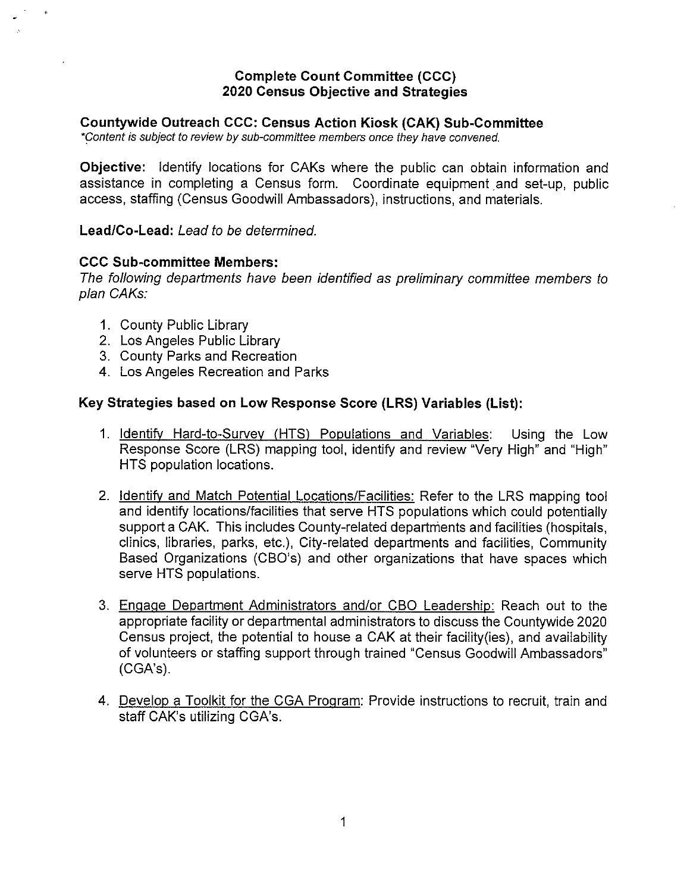#### Countywide Outreach CCC: Census Action Kiosk (CAK) Sub-Committee

\*content is subject to review by sub-committee members once they have convened.

Objective: Identify locations for CAKs where the public can obtain information and assistance in completing a Census form. Coordinate equipment and set-up, public access, staffing (Census Goodwill Ambassadors), instructions, and materials.

LeadlCo-Lead: Lead to be determined.

#### CCC Sub-committee Members:

The following departments have been identified as preliminary committee members to plan OAKs:

- 1. County Public Library
- 2. Los Angeles Public Library
- 3. County Parks and Recreation
- 4. Los Angeles Recreation and Parks

#### Key Strategies based on Low Response Score (LRS) Variables (List):

- 1. Identify Hard-to-Survey (HTS) Populations and Variables: Using the Low Response Score (LRS) mapping tool, identify and review "Very High" and "High" HTS population locations.
- 2. Identify and Match Potential Locations/Facilities: Refer to the LRS mapping tool and identify locations/facilities that serve HTS populations which could potentially support a CAK. This includes County-related departments and facilities (hospitals, clinics, libraries, parks, etc.), City-related departments and facilities, Community Based Organizations (CBO's) and other organizations that have spaces which serve HTS populations.
- 3. Engage Department Administrators and/or CBO Leadership: Reach out to the appropriate facility or departmental administrators to discuss the Countywide 2020 Census project, the potential to house a CAK at their facility (ies), and availability of volunteers or staffing support through trained "Census Goodwill Ambassadors" (CGA's).
- 4. Develop a Toolkit for the CGA Program: Provide instructions to recruit, train and staff CAK's utilizing CGA's.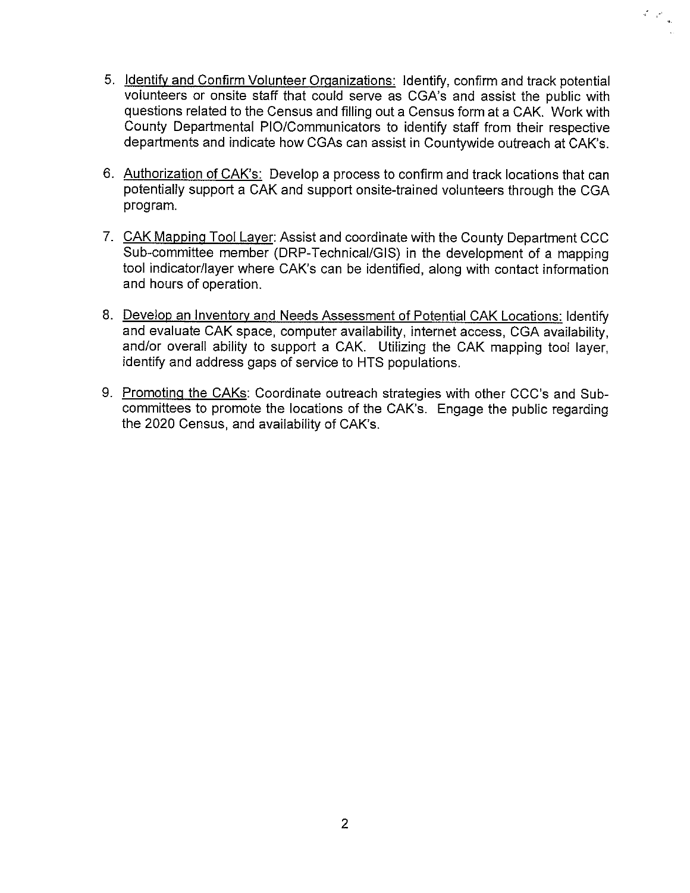5. Identify and Confirm Volunteer Organizations: Identify, confirm and track potential volunteers or onsite staff that could serve as CGA's and assist the public with questions related to the Census and filling out a Census form at a CAK. Work with County Departmental PlO/Communicators to identify staff from their respective departments and indicate how CGAs can assist in Countywide outreach at CAK's.

 $\frac{1}{2} \left( \frac{1}{2} \right) \frac{1}{2}$ 

- 6. Authorization of CAK's: Develop a process to confirm and track locations that can potentially support a CAK and support onsite-trained volunteers through the CGA program.
- 7. CAK Mapping Tool Layer: Assist and coordinate with the County Department CCC Sub-committee member (DRP-Technical/GIS) in the development of a mapping tool indicator/layer where CAK's can be identified, along with contact information and hours of operation.
- 8. Develop an Inventory and Needs Assessment of Potential CAK Locations: Identify and evaluate CAK space, computer availability, internet access, CGA availability, and/or overall ability to support a CAK. Utilizing the CAK mapping tool layer, identify and address gaps of service to HTS populations.
- 9. Promoting the CAKs: Coordinate outreach strategies with other CCC's and Subcommittees to promote the locations of the CAK's. Engage the public regarding the 2020 Census, and availability of CAK's.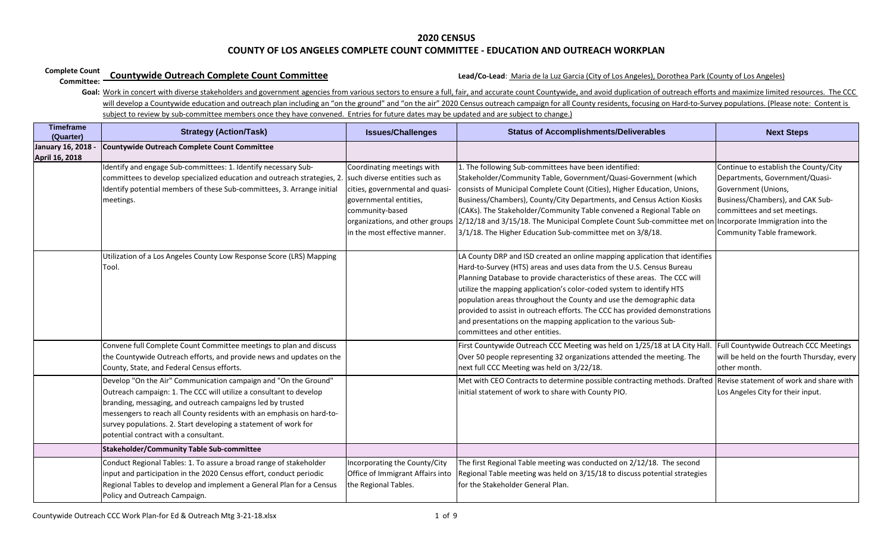#### **Complete Count Countywide Outreach Complete Count Committee**

# **Countywide Outreach Complete Count Committee** Count **Committee** Lead/Co-Lead: Maria de la Luz Garcia (City of Los Angeles), Dorothea Park (County of Los Angeles)

| <b>Timeframe</b><br>(Quarter)        | <b>Strategy (Action/Task)</b>                                                                                                                                                                                                                                                                                                                                                            | <b>Issues/Challenges</b>                                                                                                                                                       | <b>Status of Accomplishments/Deliverables</b>                                                                                                                                                                                                                                                                                                                                                                                                                                                                                                                        | <b>Next Steps</b>                                                                                                                                                                                                                    |
|--------------------------------------|------------------------------------------------------------------------------------------------------------------------------------------------------------------------------------------------------------------------------------------------------------------------------------------------------------------------------------------------------------------------------------------|--------------------------------------------------------------------------------------------------------------------------------------------------------------------------------|----------------------------------------------------------------------------------------------------------------------------------------------------------------------------------------------------------------------------------------------------------------------------------------------------------------------------------------------------------------------------------------------------------------------------------------------------------------------------------------------------------------------------------------------------------------------|--------------------------------------------------------------------------------------------------------------------------------------------------------------------------------------------------------------------------------------|
| January 16, 2018 -<br>April 16, 2018 | <b>Countywide Outreach Complete Count Committee</b>                                                                                                                                                                                                                                                                                                                                      |                                                                                                                                                                                |                                                                                                                                                                                                                                                                                                                                                                                                                                                                                                                                                                      |                                                                                                                                                                                                                                      |
|                                      | Identify and engage Sub-committees: 1. Identify necessary Sub-<br>committees to develop specialized education and outreach strategies, 2. such diverse entities such as<br>Identify potential members of these Sub-committees, 3. Arrange initial<br>meetings.                                                                                                                           | Coordinating meetings with<br>cities, governmental and quasi-<br>governmental entities,<br>community-based<br>organizations, and other groups<br>in the most effective manner. | 1. The following Sub-committees have been identified:<br>Stakeholder/Community Table, Government/Quasi-Government (which<br>consists of Municipal Complete Count (Cities), Higher Education, Unions,<br>Business/Chambers), County/City Departments, and Census Action Kiosks<br>(CAKs). The Stakeholder/Community Table convened a Regional Table on<br>2/12/18 and 3/15/18. The Municipal Complete Count Sub-committee met or<br>3/1/18. The Higher Education Sub-committee met on 3/8/18.                                                                         | Continue to establish the County/City<br>Departments, Government/Quasi-<br>Government (Unions,<br>Business/Chambers), and CAK Sub-<br>committees and set meetings.<br>Incorporate Immigration into the<br>Community Table framework. |
|                                      | Jtilization of a Los Angeles County Low Response Score (LRS) Mapping<br>Tool.                                                                                                                                                                                                                                                                                                            |                                                                                                                                                                                | LA County DRP and ISD created an online mapping application that identifies<br>Hard-to-Survey (HTS) areas and uses data from the U.S. Census Bureau<br>Planning Database to provide characteristics of these areas. The CCC will<br>utilize the mapping application's color-coded system to identify HTS<br>population areas throughout the County and use the demographic data<br>provided to assist in outreach efforts. The CCC has provided demonstrations<br>and presentations on the mapping application to the various Sub-<br>committees and other entities. |                                                                                                                                                                                                                                      |
|                                      | Convene full Complete Count Committee meetings to plan and discuss<br>the Countywide Outreach efforts, and provide news and updates on the<br>County, State, and Federal Census efforts.                                                                                                                                                                                                 |                                                                                                                                                                                | First Countywide Outreach CCC Meeting was held on 1/25/18 at LA City Hall.<br>Over 50 people representing 32 organizations attended the meeting. The<br>next full CCC Meeting was held on 3/22/18.                                                                                                                                                                                                                                                                                                                                                                   | Full Countywide Outreach CCC Meetings<br>will be held on the fourth Thursday, every<br>other month.                                                                                                                                  |
|                                      | Develop "On the Air" Communication campaign and "On the Ground"<br>Outreach campaign: 1. The CCC will utilize a consultant to develop<br>branding, messaging, and outreach campaigns led by trusted<br>messengers to reach all County residents with an emphasis on hard-to-<br>survey populations. 2. Start developing a statement of work for<br>potential contract with a consultant. |                                                                                                                                                                                | Met with CEO Contracts to determine possible contracting methods. Drafted Revise statement of work and share with<br>initial statement of work to share with County PIO.                                                                                                                                                                                                                                                                                                                                                                                             | Los Angeles City for their input.                                                                                                                                                                                                    |
|                                      | <b>Stakeholder/Community Table Sub-committee</b>                                                                                                                                                                                                                                                                                                                                         |                                                                                                                                                                                |                                                                                                                                                                                                                                                                                                                                                                                                                                                                                                                                                                      |                                                                                                                                                                                                                                      |
|                                      | Conduct Regional Tables: 1. To assure a broad range of stakeholder<br>input and participation in the 2020 Census effort, conduct periodic<br>Regional Tables to develop and implement a General Plan for a Census<br>Policy and Outreach Campaign.                                                                                                                                       | Incorporating the County/City<br>Office of Immigrant Affairs into<br>the Regional Tables.                                                                                      | The first Regional Table meeting was conducted on 2/12/18. The second<br>Regional Table meeting was held on 3/15/18 to discuss potential strategies<br>for the Stakeholder General Plan.                                                                                                                                                                                                                                                                                                                                                                             |                                                                                                                                                                                                                                      |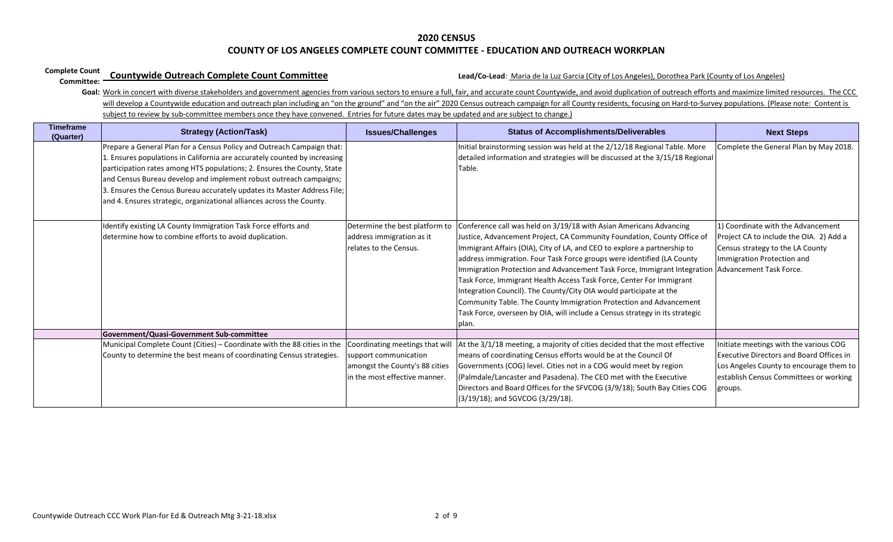#### **Complete Count Countywide Outreach Complete Count Committee**

# **Countywide Outreach Complete Count Committee** Count **Committee** Lead/Co-Lead: Maria de la Luz Garcia (City of Los Angeles), Dorothea Park (County of Los Angeles)

| <b>Timeframe</b><br>(Quarter) | <b>Strategy (Action/Task)</b>                                                                                                                                                                                                                                                                                                                                                                                                                            | <b>Issues/Challenges</b>                                                                                                    | <b>Status of Accomplishments/Deliverables</b>                                                                                                                                                                                                                                                                                                                                                                                                                                                                                                                                                                                                                                                | <b>Next Steps</b>                                                                                                                                                                         |
|-------------------------------|----------------------------------------------------------------------------------------------------------------------------------------------------------------------------------------------------------------------------------------------------------------------------------------------------------------------------------------------------------------------------------------------------------------------------------------------------------|-----------------------------------------------------------------------------------------------------------------------------|----------------------------------------------------------------------------------------------------------------------------------------------------------------------------------------------------------------------------------------------------------------------------------------------------------------------------------------------------------------------------------------------------------------------------------------------------------------------------------------------------------------------------------------------------------------------------------------------------------------------------------------------------------------------------------------------|-------------------------------------------------------------------------------------------------------------------------------------------------------------------------------------------|
|                               | Prepare a General Plan for a Census Policy and Outreach Campaign that:<br>. Ensures populations in California are accurately counted by increasing<br>participation rates among HTS populations; 2. Ensures the County, State<br>and Census Bureau develop and implement robust outreach campaigns;<br>3. Ensures the Census Bureau accurately updates its Master Address File;<br>and 4. Ensures strategic, organizational alliances across the County. |                                                                                                                             | Initial brainstorming session was held at the 2/12/18 Regional Table. More<br>detailed information and strategies will be discussed at the 3/15/18 Regional<br>Table.                                                                                                                                                                                                                                                                                                                                                                                                                                                                                                                        | Complete the General Plan by May 2018.                                                                                                                                                    |
|                               | Identify existing LA County Immigration Task Force efforts and<br>determine how to combine efforts to avoid duplication.                                                                                                                                                                                                                                                                                                                                 | Determine the best platform to<br>address immigration as it<br>relates to the Census.                                       | Conference call was held on 3/19/18 with Asian Americans Advancing<br>Justice, Advancement Project, CA Community Foundation, County Office of<br>Immigrant Affairs (OIA), City of LA, and CEO to explore a partnership to<br>address immigration. Four Task Force groups were identified (LA County<br>Immigration Protection and Advancement Task Force, Immigrant Integration<br>Task Force, Immigrant Health Access Task Force, Center For Immigrant<br>Integration Council). The County/City OIA would participate at the<br>Community Table. The County Immigration Protection and Advancement<br>Task Force, overseen by OIA, will include a Census strategy in its strategic<br>plan. | 1) Coordinate with the Advancement<br>Project CA to include the OIA. 2) Add a<br>Census strategy to the LA County<br>Immigration Protection and<br>Advancement Task Force.                |
|                               | Government/Quasi-Government Sub-committee                                                                                                                                                                                                                                                                                                                                                                                                                |                                                                                                                             |                                                                                                                                                                                                                                                                                                                                                                                                                                                                                                                                                                                                                                                                                              |                                                                                                                                                                                           |
|                               | Municipal Complete Count (Cities) - Coordinate with the 88 cities in the<br>County to determine the best means of coordinating Census strategies.                                                                                                                                                                                                                                                                                                        | Coordinating meetings that will<br>support communication<br>amongst the County's 88 cities<br>in the most effective manner. | At the 3/1/18 meeting, a majority of cities decided that the most effective<br>means of coordinating Census efforts would be at the Council Of<br>Governments (COG) level. Cities not in a COG would meet by region<br>(Palmdale/Lancaster and Pasadena). The CEO met with the Executive<br>Directors and Board Offices for the SFVCOG (3/9/18); South Bay Cities COG<br>(3/19/18); and SGVCOG (3/29/18).                                                                                                                                                                                                                                                                                    | Initiate meetings with the various COG<br><b>Executive Directors and Board Offices in</b><br>Los Angeles County to encourage them to<br>establish Census Committees or working<br>groups. |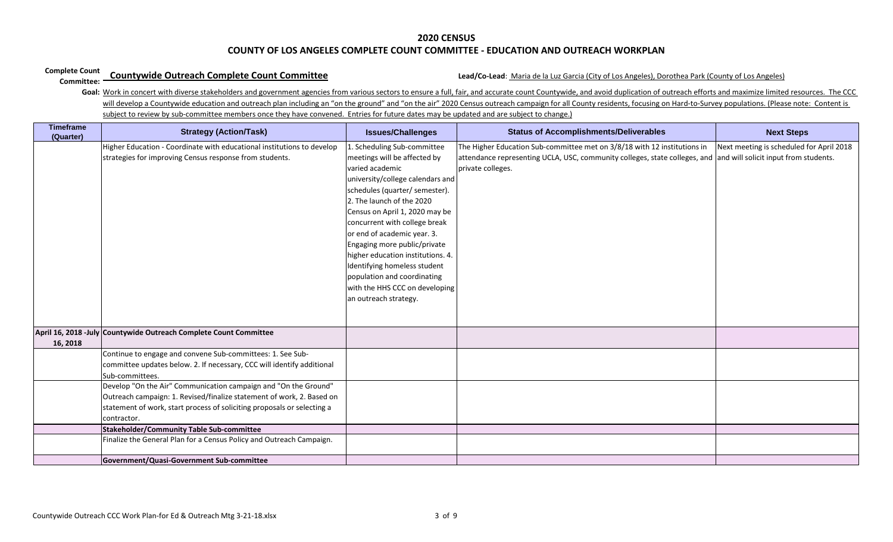#### **Complete Count Countywide Outreach Complete Count Committee**

# **Countywide Outreach Complete Count Committee** Count **Committee** Lead/Co-Lead: Maria de la Luz Garcia (City of Los Angeles), Dorothea Park (County of Los Angeles)

| <b>Timeframe</b><br>(Quarter) | <b>Strategy (Action/Task)</b>                                                                                                                                                                                                      | <b>Issues/Challenges</b>                                                                                                                                                                                                                                                                                                                                                                                                                                                           | <b>Status of Accomplishments/Deliverables</b>                                                                                                                                                                     | <b>Next Steps</b>                        |
|-------------------------------|------------------------------------------------------------------------------------------------------------------------------------------------------------------------------------------------------------------------------------|------------------------------------------------------------------------------------------------------------------------------------------------------------------------------------------------------------------------------------------------------------------------------------------------------------------------------------------------------------------------------------------------------------------------------------------------------------------------------------|-------------------------------------------------------------------------------------------------------------------------------------------------------------------------------------------------------------------|------------------------------------------|
|                               | Higher Education - Coordinate with educational institutions to develop<br>strategies for improving Census response from students.                                                                                                  | 1. Scheduling Sub-committee<br>meetings will be affected by<br>varied academic<br>university/college calendars and<br>schedules (quarter/ semester).<br>2. The launch of the 2020<br>Census on April 1, 2020 may be<br>concurrent with college break<br>or end of academic year. 3.<br>Engaging more public/private<br>higher education institutions. 4.<br>Identifying homeless student<br>population and coordinating<br>with the HHS CCC on developing<br>an outreach strategy. | The Higher Education Sub-committee met on 3/8/18 with 12 institutions in<br>attendance representing UCLA, USC, community colleges, state colleges, and and will solicit input from students.<br>private colleges. | Next meeting is scheduled for April 2018 |
| 16, 2018                      | April 16, 2018 - July Countywide Outreach Complete Count Committee                                                                                                                                                                 |                                                                                                                                                                                                                                                                                                                                                                                                                                                                                    |                                                                                                                                                                                                                   |                                          |
|                               | Continue to engage and convene Sub-committees: 1. See Sub-<br>committee updates below. 2. If necessary, CCC will identify additional<br>Sub-committees.                                                                            |                                                                                                                                                                                                                                                                                                                                                                                                                                                                                    |                                                                                                                                                                                                                   |                                          |
|                               | Develop "On the Air" Communication campaign and "On the Ground"<br>Outreach campaign: 1. Revised/finalize statement of work, 2. Based on<br>statement of work, start process of soliciting proposals or selecting a<br>contractor. |                                                                                                                                                                                                                                                                                                                                                                                                                                                                                    |                                                                                                                                                                                                                   |                                          |
|                               | Stakeholder/Community Table Sub-committee                                                                                                                                                                                          |                                                                                                                                                                                                                                                                                                                                                                                                                                                                                    |                                                                                                                                                                                                                   |                                          |
|                               | Finalize the General Plan for a Census Policy and Outreach Campaign.                                                                                                                                                               |                                                                                                                                                                                                                                                                                                                                                                                                                                                                                    |                                                                                                                                                                                                                   |                                          |
|                               | Government/Quasi-Government Sub-committee                                                                                                                                                                                          |                                                                                                                                                                                                                                                                                                                                                                                                                                                                                    |                                                                                                                                                                                                                   |                                          |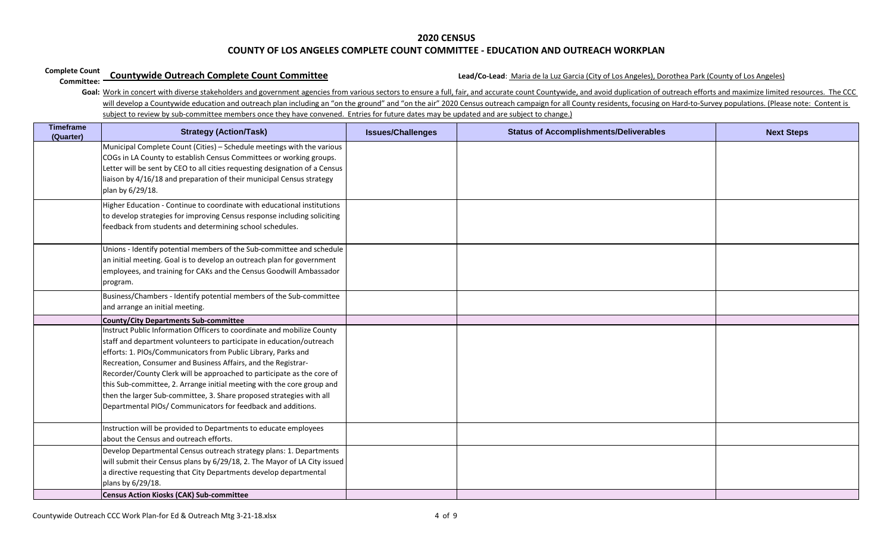#### **Complete Count Countywide Outreach Complete Count Committee**

# **Countywide Outreach Complete Count Committee**<br> **Committee:** County of Los Angeles)<br> **Committee:** County of Los Angeles)

| <b>Timeframe</b><br>(Quarter) | <b>Strategy (Action/Task)</b>                                                                                                                                                                                                                                                                                                                                                                                                                                                                                                                                                | <b>Issues/Challenges</b> | <b>Status of Accomplishments/Deliverables</b> | <b>Next Steps</b> |
|-------------------------------|------------------------------------------------------------------------------------------------------------------------------------------------------------------------------------------------------------------------------------------------------------------------------------------------------------------------------------------------------------------------------------------------------------------------------------------------------------------------------------------------------------------------------------------------------------------------------|--------------------------|-----------------------------------------------|-------------------|
|                               | Municipal Complete Count (Cities) - Schedule meetings with the various<br>COGs in LA County to establish Census Committees or working groups.<br>Letter will be sent by CEO to all cities requesting designation of a Census<br>liaison by 4/16/18 and preparation of their municipal Census strategy<br>plan by 6/29/18.                                                                                                                                                                                                                                                    |                          |                                               |                   |
|                               | Higher Education - Continue to coordinate with educational institutions<br>to develop strategies for improving Census response including soliciting<br>feedback from students and determining school schedules.                                                                                                                                                                                                                                                                                                                                                              |                          |                                               |                   |
|                               | Unions - Identify potential members of the Sub-committee and schedule<br>an initial meeting. Goal is to develop an outreach plan for government<br>employees, and training for CAKs and the Census Goodwill Ambassador<br>program.                                                                                                                                                                                                                                                                                                                                           |                          |                                               |                   |
|                               | Business/Chambers - Identify potential members of the Sub-committee<br>and arrange an initial meeting.                                                                                                                                                                                                                                                                                                                                                                                                                                                                       |                          |                                               |                   |
|                               | <b>County/City Departments Sub-committee</b>                                                                                                                                                                                                                                                                                                                                                                                                                                                                                                                                 |                          |                                               |                   |
|                               | Instruct Public Information Officers to coordinate and mobilize County<br>staff and department volunteers to participate in education/outreach<br>efforts: 1. PIOs/Communicators from Public Library, Parks and<br>Recreation, Consumer and Business Affairs, and the Registrar-<br>Recorder/County Clerk will be approached to participate as the core of<br>this Sub-committee, 2. Arrange initial meeting with the core group and<br>then the larger Sub-committee, 3. Share proposed strategies with all<br>Departmental PIOs/ Communicators for feedback and additions. |                          |                                               |                   |
|                               | Instruction will be provided to Departments to educate employees<br>about the Census and outreach efforts.                                                                                                                                                                                                                                                                                                                                                                                                                                                                   |                          |                                               |                   |
|                               | Develop Departmental Census outreach strategy plans: 1. Departments<br>will submit their Census plans by 6/29/18, 2. The Mayor of LA City issued<br>a directive requesting that City Departments develop departmental<br>plans by 6/29/18.<br><b>Census Action Kiosks (CAK) Sub-committee</b>                                                                                                                                                                                                                                                                                |                          |                                               |                   |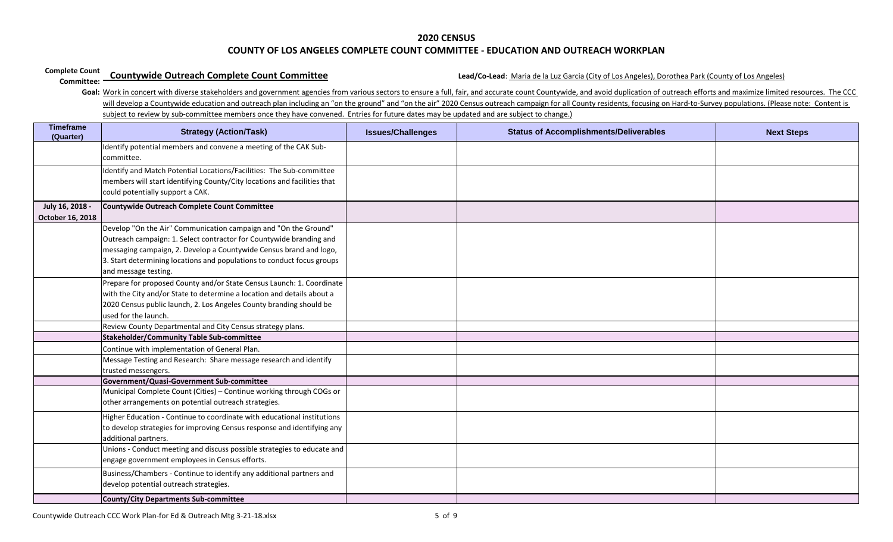#### **Complete Count Countywide Outreach Complete Count Committee**

# **Countywide Outreach Complete Count Committee** Count **Committee** Lead/Co-Lead: Maria de la Luz Garcia (City of Los Angeles), Dorothea Park (County of Los Angeles)

| <b>Timeframe</b><br>(Quarter)       | <b>Strategy (Action/Task)</b>                                                                                                                                                                                                                                                                                  | <b>Issues/Challenges</b> | <b>Status of Accomplishments/Deliverables</b> | <b>Next Steps</b> |
|-------------------------------------|----------------------------------------------------------------------------------------------------------------------------------------------------------------------------------------------------------------------------------------------------------------------------------------------------------------|--------------------------|-----------------------------------------------|-------------------|
|                                     | Identify potential members and convene a meeting of the CAK Sub-<br>committee.                                                                                                                                                                                                                                 |                          |                                               |                   |
|                                     | Identify and Match Potential Locations/Facilities: The Sub-committee<br>members will start identifying County/City locations and facilities that<br>could potentially support a CAK.                                                                                                                           |                          |                                               |                   |
| July 16, 2018 -<br>October 16, 2018 | Countywide Outreach Complete Count Committee                                                                                                                                                                                                                                                                   |                          |                                               |                   |
|                                     | Develop "On the Air" Communication campaign and "On the Ground"<br>Outreach campaign: 1. Select contractor for Countywide branding and<br>messaging campaign, 2. Develop a Countywide Census brand and logo,<br>3. Start determining locations and populations to conduct focus groups<br>and message testing. |                          |                                               |                   |
|                                     | Prepare for proposed County and/or State Census Launch: 1. Coordinate<br>with the City and/or State to determine a location and details about a<br>2020 Census public launch, 2. Los Angeles County branding should be<br>used for the launch.                                                                 |                          |                                               |                   |
|                                     | Review County Departmental and City Census strategy plans.                                                                                                                                                                                                                                                     |                          |                                               |                   |
|                                     | Stakeholder/Community Table Sub-committee                                                                                                                                                                                                                                                                      |                          |                                               |                   |
|                                     | Continue with implementation of General Plan.                                                                                                                                                                                                                                                                  |                          |                                               |                   |
|                                     | Message Testing and Research: Share message research and identify<br>trusted messengers.                                                                                                                                                                                                                       |                          |                                               |                   |
|                                     | Government/Quasi-Government Sub-committee                                                                                                                                                                                                                                                                      |                          |                                               |                   |
|                                     | Municipal Complete Count (Cities) - Continue working through COGs or<br>other arrangements on potential outreach strategies.                                                                                                                                                                                   |                          |                                               |                   |
|                                     | Higher Education - Continue to coordinate with educational institutions<br>to develop strategies for improving Census response and identifying any<br>additional partners.                                                                                                                                     |                          |                                               |                   |
|                                     | Unions - Conduct meeting and discuss possible strategies to educate and<br>engage government employees in Census efforts.                                                                                                                                                                                      |                          |                                               |                   |
|                                     | Business/Chambers - Continue to identify any additional partners and<br>develop potential outreach strategies.                                                                                                                                                                                                 |                          |                                               |                   |
|                                     | <b>County/City Departments Sub-committee</b>                                                                                                                                                                                                                                                                   |                          |                                               |                   |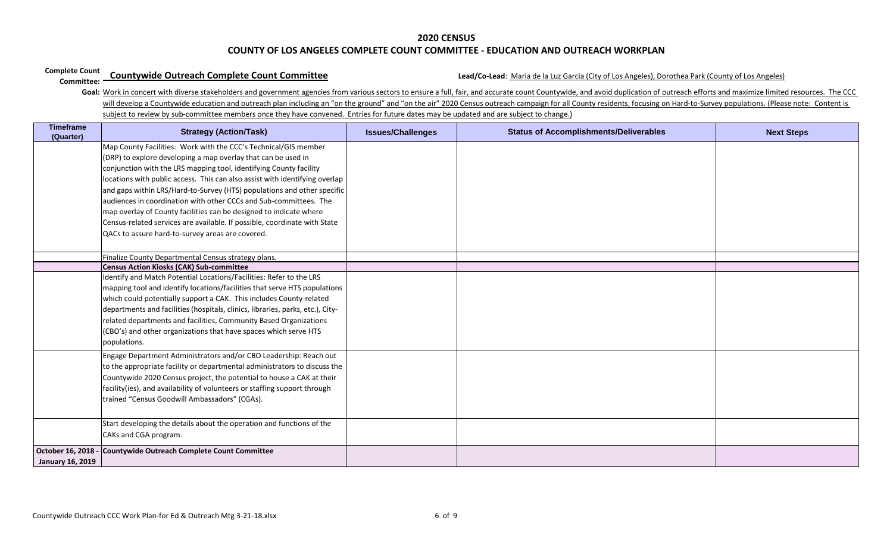#### **Complete Count Countywide Outreach Complete Count Committee**

# **Countywide Outreach Complete Count Committee** Count **Committee** Lead/Co-Lead: Maria de la Luz Garcia (City of Los Angeles), Dorothea Park (County of Los Angeles)

| <b>Timeframe</b><br>(Quarter)          | <b>Strategy (Action/Task)</b>                                                                                                                                                                                                                                                                                                                                                                                                                                                                                                                                                                                                                | <b>Issues/Challenges</b> | <b>Status of Accomplishments/Deliverables</b> | <b>Next Steps</b> |
|----------------------------------------|----------------------------------------------------------------------------------------------------------------------------------------------------------------------------------------------------------------------------------------------------------------------------------------------------------------------------------------------------------------------------------------------------------------------------------------------------------------------------------------------------------------------------------------------------------------------------------------------------------------------------------------------|--------------------------|-----------------------------------------------|-------------------|
|                                        | Map County Facilities: Work with the CCC's Technical/GIS member<br>(DRP) to explore developing a map overlay that can be used in<br>conjunction with the LRS mapping tool, identifying County facility<br>locations with public access. This can also assist with identifying overlap<br>and gaps within LRS/Hard-to-Survey (HTS) populations and other specific<br>audiences in coordination with other CCCs and Sub-committees. The<br>map overlay of County facilities can be designed to indicate where<br>Census-related services are available. If possible, coordinate with State<br>QACs to assure hard-to-survey areas are covered. |                          |                                               |                   |
|                                        | Finalize County Departmental Census strategy plans.                                                                                                                                                                                                                                                                                                                                                                                                                                                                                                                                                                                          |                          |                                               |                   |
|                                        | <b>Census Action Kiosks (CAK) Sub-committee</b>                                                                                                                                                                                                                                                                                                                                                                                                                                                                                                                                                                                              |                          |                                               |                   |
|                                        | Identify and Match Potential Locations/Facilities: Refer to the LRS<br>mapping tool and identify locations/facilities that serve HTS populations<br>which could potentially support a CAK. This includes County-related<br>departments and facilities (hospitals, clinics, libraries, parks, etc.), City-<br>related departments and facilities, Community Based Organizations<br>(CBO's) and other organizations that have spaces which serve HTS<br>populations.                                                                                                                                                                           |                          |                                               |                   |
|                                        | Engage Department Administrators and/or CBO Leadership: Reach out<br>to the appropriate facility or departmental administrators to discuss the<br>Countywide 2020 Census project, the potential to house a CAK at their<br>facility(ies), and availability of volunteers or staffing support through<br>trained "Census Goodwill Ambassadors" (CGAs).                                                                                                                                                                                                                                                                                        |                          |                                               |                   |
|                                        | Start developing the details about the operation and functions of the<br>CAKs and CGA program.                                                                                                                                                                                                                                                                                                                                                                                                                                                                                                                                               |                          |                                               |                   |
| October 16, 2018 -<br>January 16, 2019 | Countywide Outreach Complete Count Committee                                                                                                                                                                                                                                                                                                                                                                                                                                                                                                                                                                                                 |                          |                                               |                   |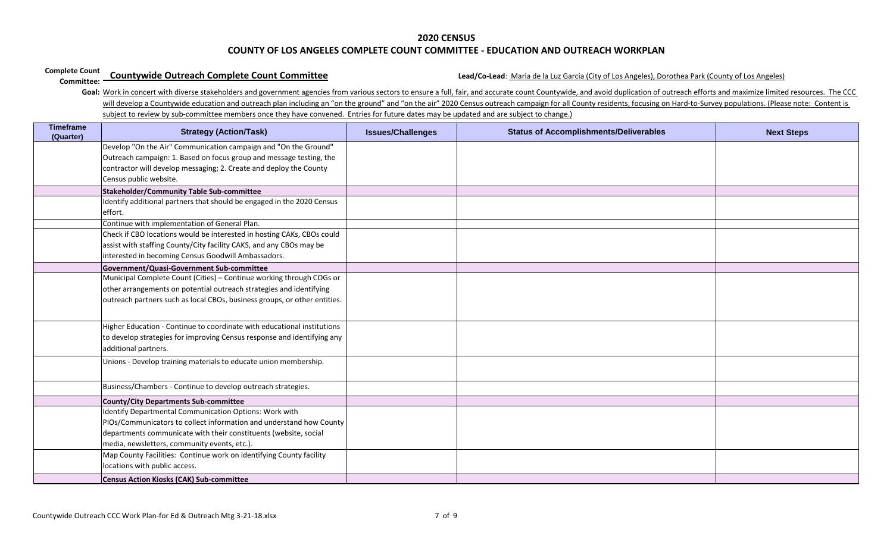#### **Complete Count Countywide Outreach Complete Count Committee**

# **Countywide Outreach Complete Count Committee** Count **Committee** Lead/Co-Lead: Maria de la Luz Garcia (City of Los Angeles), Dorothea Park (County of Los Angeles)

| <b>Timeframe</b><br>(Quarter) | <b>Strategy (Action/Task)</b>                                             | <b>Issues/Challenges</b> | <b>Status of Accomplishments/Deliverables</b> | <b>Next Steps</b> |
|-------------------------------|---------------------------------------------------------------------------|--------------------------|-----------------------------------------------|-------------------|
|                               | Develop "On the Air" Communication campaign and "On the Ground"           |                          |                                               |                   |
|                               | Outreach campaign: 1. Based on focus group and message testing, the       |                          |                                               |                   |
|                               | contractor will develop messaging; 2. Create and deploy the County        |                          |                                               |                   |
|                               | Census public website.                                                    |                          |                                               |                   |
|                               | <b>Stakeholder/Community Table Sub-committee</b>                          |                          |                                               |                   |
|                               | Identify additional partners that should be engaged in the 2020 Census    |                          |                                               |                   |
|                               | effort.                                                                   |                          |                                               |                   |
|                               | Continue with implementation of General Plan.                             |                          |                                               |                   |
|                               | Check if CBO locations would be interested in hosting CAKs, CBOs could    |                          |                                               |                   |
|                               | assist with staffing County/City facility CAKS, and any CBOs may be       |                          |                                               |                   |
|                               | interested in becoming Census Goodwill Ambassadors.                       |                          |                                               |                   |
|                               | Government/Quasi-Government Sub-committee                                 |                          |                                               |                   |
|                               | Municipal Complete Count (Cities) - Continue working through COGs or      |                          |                                               |                   |
|                               | other arrangements on potential outreach strategies and identifying       |                          |                                               |                   |
|                               | outreach partners such as local CBOs, business groups, or other entities. |                          |                                               |                   |
|                               |                                                                           |                          |                                               |                   |
|                               | Higher Education - Continue to coordinate with educational institutions   |                          |                                               |                   |
|                               | to develop strategies for improving Census response and identifying any   |                          |                                               |                   |
|                               | additional partners.                                                      |                          |                                               |                   |
|                               | Unions - Develop training materials to educate union membership.          |                          |                                               |                   |
|                               |                                                                           |                          |                                               |                   |
|                               | Business/Chambers - Continue to develop outreach strategies.              |                          |                                               |                   |
|                               | <b>County/City Departments Sub-committee</b>                              |                          |                                               |                   |
|                               | Identify Departmental Communication Options: Work with                    |                          |                                               |                   |
|                               | PIOs/Communicators to collect information and understand how County       |                          |                                               |                   |
|                               | departments communicate with their constituents (website, social          |                          |                                               |                   |
|                               | media, newsletters, community events, etc.).                              |                          |                                               |                   |
|                               | Map County Facilities: Continue work on identifying County facility       |                          |                                               |                   |
|                               | locations with public access.                                             |                          |                                               |                   |
|                               | <b>Census Action Kiosks (CAK) Sub-committee</b>                           |                          |                                               |                   |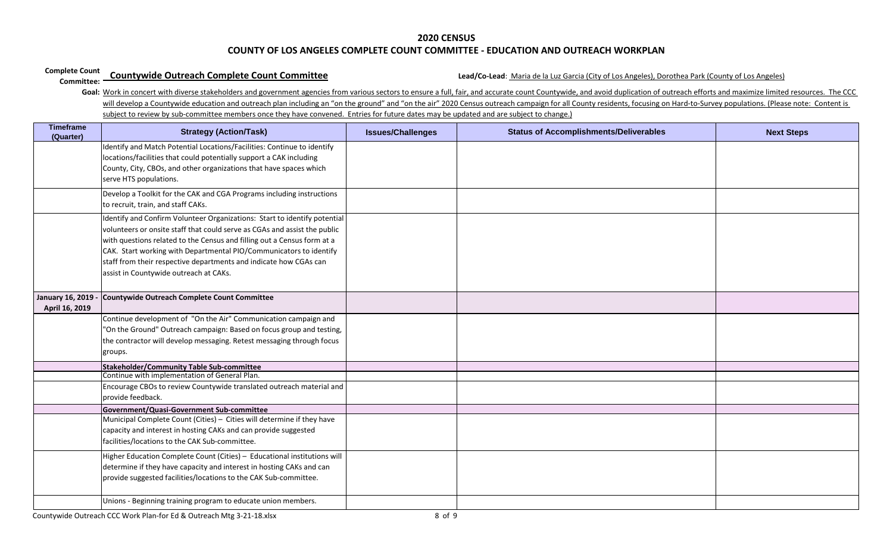#### **Complete Count Countywide Outreach Complete Count Committee**

# **Countywide Outreach Complete Count Committee** Count **Committee** Lead/Co-Lead: Maria de la Luz Garcia (City of Los Angeles), Dorothea Park (County of Los Angeles)

| <b>Timeframe</b><br>(Quarter)             | <b>Strategy (Action/Task)</b>                                                                                                                                                                                                                                                                                                                                                                                          | <b>Issues/Challenges</b> | <b>Status of Accomplishments/Deliverables</b> | <b>Next Steps</b> |
|-------------------------------------------|------------------------------------------------------------------------------------------------------------------------------------------------------------------------------------------------------------------------------------------------------------------------------------------------------------------------------------------------------------------------------------------------------------------------|--------------------------|-----------------------------------------------|-------------------|
|                                           | Identify and Match Potential Locations/Facilities: Continue to identify<br>locations/facilities that could potentially support a CAK including<br>County, City, CBOs, and other organizations that have spaces which<br>serve HTS populations.                                                                                                                                                                         |                          |                                               |                   |
|                                           | Develop a Toolkit for the CAK and CGA Programs including instructions<br>to recruit, train, and staff CAKs.                                                                                                                                                                                                                                                                                                            |                          |                                               |                   |
|                                           | Identify and Confirm Volunteer Organizations: Start to identify potential<br>volunteers or onsite staff that could serve as CGAs and assist the public<br>with questions related to the Census and filling out a Census form at a<br>CAK. Start working with Departmental PIO/Communicators to identify<br>staff from their respective departments and indicate how CGAs can<br>assist in Countywide outreach at CAKs. |                          |                                               |                   |
| <b>January 16, 2019</b><br>April 16, 2019 | <b>Countywide Outreach Complete Count Committee</b>                                                                                                                                                                                                                                                                                                                                                                    |                          |                                               |                   |
|                                           | Continue development of "On the Air" Communication campaign and<br>"On the Ground" Outreach campaign: Based on focus group and testing,<br>the contractor will develop messaging. Retest messaging through focus<br>groups.                                                                                                                                                                                            |                          |                                               |                   |
|                                           | Stakeholder/Community Table Sub-committee<br>Continue with implementation of General Plan.                                                                                                                                                                                                                                                                                                                             |                          |                                               |                   |
|                                           | Encourage CBOs to review Countywide translated outreach material and<br>provide feedback.                                                                                                                                                                                                                                                                                                                              |                          |                                               |                   |
|                                           | Government/Quasi-Government Sub-committee<br>Municipal Complete Count (Cities) - Cities will determine if they have<br>capacity and interest in hosting CAKs and can provide suggested<br>facilities/locations to the CAK Sub-committee.                                                                                                                                                                               |                          |                                               |                   |
|                                           | Higher Education Complete Count (Cities) - Educational institutions will<br>determine if they have capacity and interest in hosting CAKs and can<br>provide suggested facilities/locations to the CAK Sub-committee.                                                                                                                                                                                                   |                          |                                               |                   |
|                                           | Unions - Beginning training program to educate union members.                                                                                                                                                                                                                                                                                                                                                          |                          |                                               |                   |